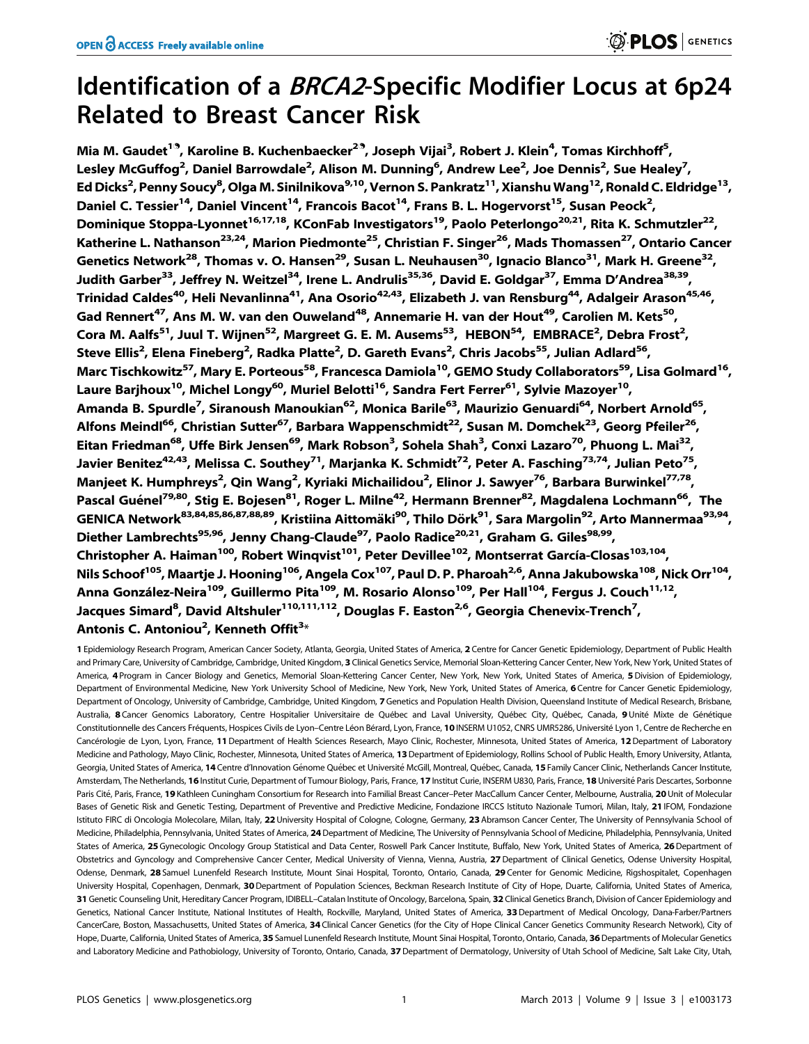# Identification of a BRCA2-Specific Modifier Locus at 6p24 Related to Breast Cancer Risk

Mia M. Gaudet<sup>19</sup>, Karoline B. Kuchenbaecker<sup>29</sup>, Joseph Vijai<sup>3</sup>, Robert J. Klein<sup>4</sup>, Tomas Kirchhoff<sup>5</sup>, Lesley McGuffog<sup>2</sup>, Daniel Barrowdale<sup>2</sup>, Alison M. Dunning<sup>6</sup>, Andrew Lee<sup>2</sup>, Joe Dennis<sup>2</sup>, Sue Healey<sup>7</sup>, Ed Dicks<sup>2</sup>, Penny Soucy<sup>8</sup>, Olga M. Sinilnikova<sup>9,10</sup>, Vernon S. Pankratz<sup>11</sup>, Xianshu Wang<sup>12</sup>, Ronald C. Eldridge<sup>13</sup>, Daniel C. Tessier<sup>14</sup>, Daniel Vincent<sup>14</sup>, Francois Bacot<sup>14</sup>, Frans B. L. Hogervorst<sup>15</sup>, Susan Peock<sup>2</sup>, Dominique Stoppa-Lyonnet<sup>16,17,18</sup>, KConFab Investigators<sup>19</sup>, Paolo Peterlongo<sup>20,21</sup>, Rita K. Schmutzler<sup>22</sup>, Katherine L. Nathanson<sup>23,24</sup>, Marion Piedmonte<sup>25</sup>, Christian F. Singer<sup>26</sup>, Mads Thomassen<sup>27</sup>, Ontario Cancer Genetics Network<sup>28</sup>, Thomas v. O. Hansen<sup>29</sup>, Susan L. Neuhausen<sup>30</sup>, Ignacio Blanco<sup>31</sup>, Mark H. Greene<sup>32</sup>, Judith Garber<sup>33</sup>, Jeffrey N. Weitzel<sup>34</sup>, Irene L. Andrulis<sup>35,36</sup>, David E. Goldgar<sup>37</sup>, Emma D'Andrea<sup>38,39</sup>, Trinidad Caldes<sup>40</sup>, Heli Nevanlinna<sup>41</sup>, Ana Osorio<sup>42,43</sup>, Elizabeth J. van Rensburg<sup>44</sup>, Adalgeir Arason<sup>45,46</sup>, Gad Rennert<sup>47</sup>, Ans M. W. van den Ouweland<sup>48</sup>, Annemarie H. van der Hout<sup>49</sup>, Carolien M. Kets<sup>50</sup>, Cora M. Aalfs<sup>51</sup>, Juul T. Wijnen<sup>52</sup>, Margreet G. E. M. Ausems<sup>53</sup>, HEBON<sup>54</sup>, EMBRACE<sup>2</sup>, Debra Frost<sup>2</sup>, Steve Ellis<sup>2</sup>, Elena Fineberg<sup>2</sup>, Radka Platte<sup>2</sup>, D. Gareth Evans<sup>2</sup>, Chris Jacobs<sup>55</sup>, Julian Adlard<sup>56</sup>, Marc Tischkowitz<sup>57</sup>, Mary E. Porteous<sup>58</sup>, Francesca Damiola<sup>10</sup>, GEMO Study Collaborators<sup>59</sup>, Lisa Golmard<sup>16</sup>, Laure Barjhoux<sup>10</sup>, Michel Longy<sup>60</sup>, Muriel Belotti<sup>16</sup>, Sandra Fert Ferrer<sup>61</sup>, Sylvie Mazoyer<sup>10</sup>, Amanda B. Spurdle<sup>7</sup>, Siranoush Manoukian<sup>62</sup>, Monica Barile<sup>63</sup>, Maurizio Genuardi<sup>64</sup>, Norbert Arnold<sup>65</sup>, Alfons Meindl<sup>66</sup>, Christian Sutter<sup>67</sup>, Barbara Wappenschmidt<sup>22</sup>, Susan M. Domchek<sup>23</sup>, Georg Pfeiler<sup>26</sup>, Eitan Friedman<sup>68</sup>, Uffe Birk Jensen<sup>69</sup>, Mark Robson<sup>3</sup>, Sohela Shah<sup>3</sup>, Conxi Lazaro<sup>70</sup>, Phuong L. Mai<sup>32</sup>, Javier Benitez<sup>42,43</sup>, Melissa C. Southey<sup>71</sup>, Marjanka K. Schmidt<sup>72</sup>, Peter A. Fasching<sup>73,74</sup>, Julian Peto<sup>75</sup>, Manjeet K. Humphreys<sup>2</sup>, Qin Wang<sup>2</sup>, Kyriaki Michailidou<sup>2</sup>, Elinor J. Sawyer<sup>76</sup>, Barbara Burwinkel<sup>77,78</sup>, Pascal Guénel<sup>79,80</sup>, Stig E. Bojesen<sup>81</sup>, Roger L. Milne<sup>42</sup>, Hermann Brenner<sup>82</sup>, Magdalena Lochmann<sup>66</sup>, The GENICA Network<sup>83,84,85,86,87,88,89</sup>, Kristiina Aittomäki<sup>90</sup>, Thilo Dörk<sup>91</sup>, Sara Margolin<sup>92</sup>, Arto Mannermaa<sup>93,94</sup>, Diether Lambrechts<sup>95,96</sup>, Jenny Chang-Claude<sup>97</sup>, Paolo Radice<sup>20,21</sup>, Graham G. Giles<sup>98,99</sup>, Christopher A. Haiman<sup>100</sup>, Robert Winqvist<sup>101</sup>, Peter Devillee<sup>102</sup>, Montserrat García-Closas<sup>103,104</sup>, Nils Schoof<sup>105</sup>, Maartje J. Hooning<sup>106</sup>, Angela Cox<sup>107</sup>, Paul D. P. Pharoah<sup>2,6</sup>, Anna Jakubowska<sup>108</sup>, Nick Orr<sup>104</sup>, Anna González-Neira<sup>109</sup>, Guillermo Pita<sup>109</sup>, M. Rosario Alonso<sup>109</sup>, Per Hall<sup>104</sup>, Fergus J. Couch<sup>11,12</sup>, Jacques Simard<sup>8</sup>, David Altshuler<sup>110,111,112</sup>, Douglas F. Easton<sup>2,6</sup>, Georgia Chenevix-Trench<sup>7</sup>, Antonis C. Antoniou<sup>2</sup>, Kenneth Offit<sup>3</sup>\*

1 Epidemiology Research Program, American Cancer Society, Atlanta, Georgia, United States of America, 2Centre for Cancer Genetic Epidemiology, Department of Public Health and Primary Care, University of Cambridge, Cambridge, United Kingdom, 3 Clinical Genetics Service, Memorial Sloan-Kettering Cancer Center, New York, New York, United States of America, 4 Program in Cancer Biology and Genetics, Memorial Sloan-Kettering Cancer Center, New York, New York, United States of America, 5 Division of Epidemiology, Department of Environmental Medicine, New York University School of Medicine, New York, New York, United States of America, 6 Centre for Cancer Genetic Epidemiology, Department of Oncology, University of Cambridge, Cambridge, United Kingdom, 7 Genetics and Population Health Division, Queensland Institute of Medical Research, Brisbane, Australia, 8 Cancer Genomics Laboratory, Centre Hospitalier Universitaire de Québec and Laval University, Québec City, Québec, Canada, 9 Unité Mixte de Génétique Constitutionnelle des Cancers Fréquents, Hospices Civils de Lyon–Centre Léon Bérard, Lyon, France, 10 INSERM U1052, CNRS UMR5286, Université Lyon 1, Centre de Recherche en Cancérologie de Lyon, Lyon, France, 11 Department of Health Sciences Research, Mayo Clinic, Rochester, Minnesota, United States of America, 12 Department of Laboratory Medicine and Pathology, Mayo Clinic, Rochester, Minnesota, United States of America, 13Department of Epidemiology, Rollins School of Public Health, Emory University, Atlanta, Georgia, United States of America, 14 Centre d'Innovation Génome Québec et Université McGill, Montreal, Québec, Canada, 15 Family Cancer Clinic, Netherlands Cancer Institute, Amsterdam, The Netherlands, 16 Institut Curie, Department of Tumour Biology, Paris, France, 17 Institut Curie, INSERM U830, Paris, France, 18 Université Paris Descartes, Sorbonne Paris Cité, Paris, France, 19 Kathleen Cuningham Consortium for Research into Familial Breast Cancer–Peter MacCallum Cancer Center, Melbourne, Australia, 20 Unit of Molecular Bases of Genetic Risk and Genetic Testing, Department of Preventive and Predictive Medicine, Fondazione IRCCS Istituto Nazionale Tumori, Milan, Italy, 21 IFOM, Fondazione Istituto FIRC di Oncologia Molecolare, Milan, Italy, 22 University Hospital of Cologne, Cologne, Germany, 23 Abramson Cancer Center, The University of Pennsylvania School of Medicine, Philadelphia, Pennsylvania, United States of America, 24 Department of Medicine, The University of Pennsylvania School of Medicine, Philadelphia, Pennsylvania, United States of America, 25 Gynecologic Oncology Group Statistical and Data Center, Roswell Park Cancer Institute, Buffalo, New York, United States of America, 26 Department of Obstetrics and Gyncology and Comprehensive Cancer Center, Medical University of Vienna, Vienna, Austria, 27 Department of Clinical Genetics, Odense University Hospital, Odense, Denmark, 28 Samuel Lunenfeld Research Institute, Mount Sinai Hospital, Toronto, Ontario, Canada, 29 Center for Genomic Medicine, Rigshospitalet, Copenhagen University Hospital, Copenhagen, Denmark, 30 Department of Population Sciences, Beckman Research Institute of City of Hope, Duarte, California, United States of America, 31 Genetic Counseling Unit, Hereditary Cancer Program, IDIBELL-Catalan Institute of Oncology, Barcelona, Spain, 32 Clinical Genetics Branch, Division of Cancer Epidemiology and Genetics, National Cancer Institute, National Institutes of Health, Rockville, Maryland, United States of America, 33 Department of Medical Oncology, Dana-Farber/Partners CancerCare, Boston, Massachusetts, United States of America, 34 Clinical Cancer Genetics (for the City of Hope Clinical Cancer Genetics Community Research Network), City of Hope, Duarte, California, United States of America, 35 Samuel Lunenfeld Research Institute, Mount Sinai Hospital, Toronto, Ontario, Canada, 36 Departments of Molecular Genetics and Laboratory Medicine and Pathobiology, University of Toronto, Ontario, Canada, 37 Department of Dermatology, University of Utah School of Medicine, Salt Lake City, Utah,

 $\odot$  PLOS GENETICS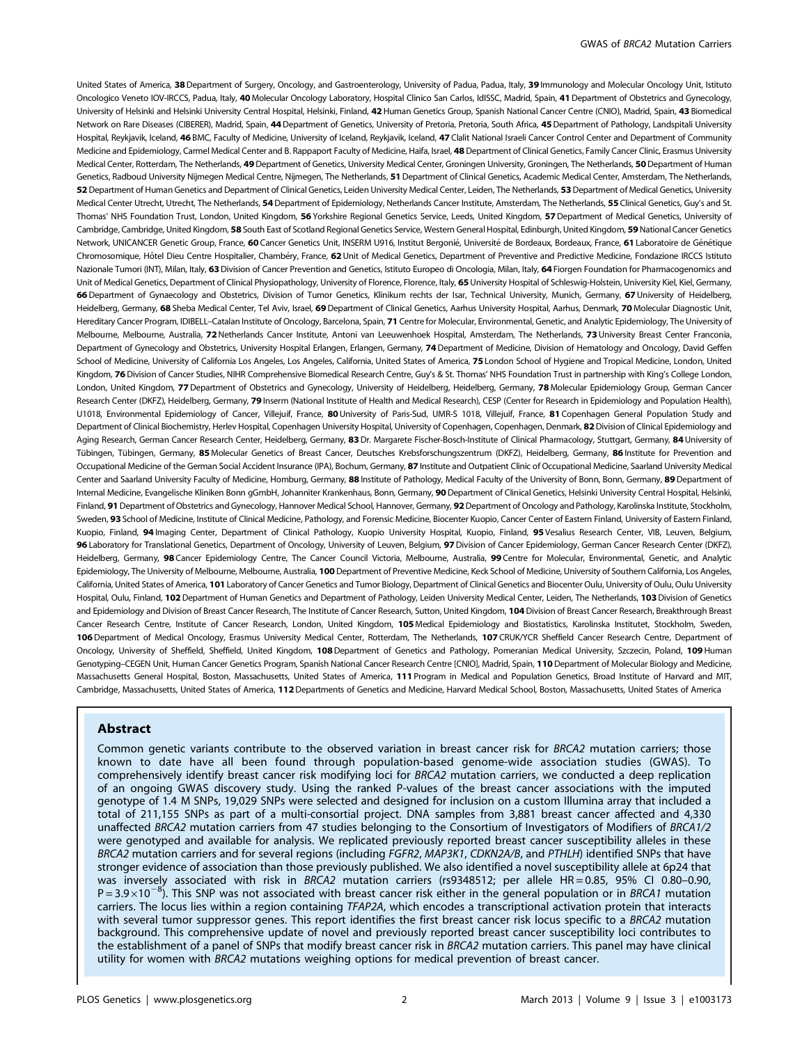United States of America, 38 Department of Surgery, Oncology, and Gastroenterology, University of Padua, Padua, Italy, 39 Immunology and Molecular Oncology Unit, Istituto Oncologico Veneto IOV-IRCCS, Padua, Italy, 40 Molecular Oncology Laboratory, Hospital Clinico San Carlos, IdISSC, Madrid, Spain, 41 Department of Obstetrics and Gynecology, University of Helsinki and Helsinki University Central Hospital, Helsinki, Finland, 42 Human Genetics Group, Spanish National Cancer Centre (CNIO), Madrid, Spain, 43 Biomedical Network on Rare Diseases (CIBERER), Madrid, Spain, 44 Department of Genetics, University of Pretoria, Pretoria, South Africa, 45 Department of Pathology, Landspitali University Hospital, Reykjavik, Iceland, 46 BMC, Faculty of Medicine, University of Iceland, Reykjavik, Iceland, 47 Clalit National Israeli Cancer Control Center and Department of Community Medicine and Epidemiology, Carmel Medical Center and B. Rappaport Faculty of Medicine, Haifa, Israel, 48 Department of Clinical Genetics, Family Cancer Clinic, Frasmus University Medical Center, Rotterdam, The Netherlands, 49 Department of Genetics, University Medical Center, Groningen University, Groningen, The Netherlands, 50 Department of Human Genetics, Radboud University Nijmegen Medical Centre, Nijmegen, The Netherlands, 51 Department of Clinical Genetics, Academic Medical Center, Amsterdam, The Netherlands, 52 Department of Human Genetics and Department of Clinical Genetics, Leiden University Medical Center, Leiden, The Netherlands, 53 Department of Medical Genetics, University Medical Center Utrecht, Utrecht, The Netherlands, 54 Department of Epidemiology, Netherlands Cancer Institute, Amsterdam, The Netherlands, 55 Clinical Genetics, Guy's and St. Thomas' NHS Foundation Trust, London, United Kingdom, 56Yorkshire Regional Genetics Service, Leeds, United Kingdom, 57Department of Medical Genetics, University of Cambridge, Cambridge, United Kingdom, 58 South East of Scotland Regional Genetics Service, Western General Hospital, Edinburgh, United Kingdom, 59 National Cancer Genetics Network, UNICANCER Genetic Group, France, 60 Cancer Genetics Unit, INSERM U916, Institut Bergonié, Université de Bordeaux, Bordeaux, France, 61 Laboratoire de Génétique Chromosomique, Hôtel Dieu Centre Hospitalier, Chambéry, France, 62 Unit of Medical Genetics, Department of Preventive and Predictive Medicine, Fondazione IRCCS Istituto Nazionale Tumori (INT), Milan, Italy, 63 Division of Cancer Prevention and Genetics, Istituto Europeo di Oncologia, Milan, Italy, 64 Fiorgen Foundation for Pharmacogenomics and Unit of Medical Genetics, Department of Clinical Physiopathology, University of Florence, Italy, 65 University Hospital of Schleswig-Holstein, University Kiel, Kiel, Germany, 66 Department of Gynaecology and Obstetrics, Division of Tumor Genetics, Klinikum rechts der Isar, Technical University, Munich, Germany, 67 University of Heidelberg, Heidelberg, Germany, 68 Sheba Medical Center, Tel Aviv, Israel, 69 Department of Clinical Genetics, Aarhus University Hospital, Aarhus, Denmark, 70 Molecular Diagnostic Unit, Hereditary Cancer Program, IDIBELL–Catalan Institute of Oncology, Barcelona, Spain, 71 Centre for Molecular, Environmental, Genetic, and Analytic Epidemiology, The University of Melbourne, Melbourne, Australia, 72Netherlands Cancer Institute, Antoni van Leeuwenhoek Hospital, Amsterdam, The Netherlands, 73University Breast Center Franconia, Department of Gynecology and Obstetrics, University Hospital Erlangen, Erlangen, Germany, 74 Department of Medicine, Division of Hematology and Oncology, David Geffen School of Medicine, University of California Los Angeles, Los Angeles, California, United States of America, 75 London School of Hygiene and Tropical Medicine, London, United Kingdom, 76 Division of Cancer Studies, NIHR Comprehensive Biomedical Research Centre, Guy's & St. Thomas' NHS Foundation Trust in partnership with King's College London, London, United Kingdom, 77 Department of Obstetrics and Gynecology, University of Heidelberg, Heidelberg, Germany, 78 Molecular Epidemiology Group, German Cancer Research Center (DKFZ), Heidelberg, Germany, 79 Inserm (National Institute of Health and Medical Research), CESP (Center for Research in Epidemiology and Population Health), U1018, Environmental Epidemiology of Cancer, Villejuif, France, 80 University of Paris-Sud, UMR-S 1018, Villejuif, France, 81 Copenhagen General Population Study and Department of Clinical Biochemistry, Herlev Hospital, Copenhagen University Hospital, University of Copenhagen, Copenhagen, Denmark, 82 Division of Clinical Epidemiology and Aging Research, German Cancer Research Center, Heidelberg, Germany, 83 Dr. Margarete Fischer-Bosch-Institute of Clinical Pharmacology, Stuttgart, Germany, 84 University of Tübingen, Tübingen, Germany, 85 Molecular Genetics of Breast Cancer, Deutsches Krebsforschungszentrum (DKFZ), Heidelberg, Germany, 86 Institute for Prevention and Occupational Medicine of the German Social Accident Insurance (IPA), Bochum, Germany, 87 Institute and Outpatient Clinic of Occupational Medicine, Saarland University Medical Center and Saarland University Faculty of Medicine, Homburg, Germany, 88 Institute of Pathology, Medical Faculty of the University of Bonn, Bonn, Germany, 89 Department of Internal Medicine, Evangelische Kliniken Bonn gGmbH, Johanniter Krankenhaus, Bonn, Germany, 90 Department of Clinical Genetics, Helsinki University Central Hospital, Helsinki, Finland, 91 Department of Obstetrics and Gynecology, Hannover Medical School, Hannover, Germany, 92 Department of Oncology and Pathology, Karolinska Institute, Stockholm, Sweden, 93 School of Medicine, Institute of Clinical Medicine, Pathology, and Forensic Medicine, Biocenter Kuopio, Cancer Center of Eastern Finland, University of Eastern Finland, Kuopio, Finland, 94Imaging Center, Department of Clinical Pathology, Kuopio University Hospital, Kuopio, Finland, 95 Vesalius Research Center, VIB, Leuven, Belgium, 96 Laboratory for Translational Genetics, Department of Oncology, University of Leuven, Belgium, 97 Division of Cancer Epidemiology, German Cancer Research Center (DKFZ), Heidelberg, Germany, 98 Cancer Epidemiology Centre, The Cancer Council Victoria, Melbourne, Australia, 99 Centre for Molecular, Environmental, Genetic, and Analytic Epidemiology, The University of Melbourne, Melbourne, Australia, 100 Department of Preventive Medicine, Keck School of Medicine, University of Southern California, Los Angeles, Califomia, United States of America, 101 Laboratory of Cancer Genetics and Tumor Biology, Department of Clinical Genetics and Biocenter Oulu, University of Oulu, Oulu University Hospital, Oulu, Finland, 102 Department of Human Genetics and Department of Pathology, Leiden University Medical Center, Leiden, The Netherlands, 103 Division of Genetics and Epidemiology and Division of Breast Cancer Research, The Institute of Cancer Research, Sutton, United Kingdom, 104 Division of Breast Cancer Research, Breakthrough Breast Cancer Research Centre, Institute of Cancer Research, London, United Kingdom, 105 Medical Epidemiology and Biostatistics, Karolinska Institutet, Stockholm, Sweden, 106 Department of Medical Oncology, Erasmus University Medical Center, Rotterdam, The Netherlands, 107 CRUK/YCR Sheffield Cancer Research Centre, Department of Oncology, University of Sheffield, Sheffield, United Kingdom, 108 Department of Genetics and Pathology, Pomeranian Medical University, Szczecin, Poland, 109 Human Genotyping–CEGEN Unit, Human Cancer Genetics Program, Spanish National Cancer Research Centre [CNIO], Madrid, Spain, 110Department of Molecular Biology and Medicine, Massachusetts General Hospital, Boston, Massachusetts, United States of America, 111Program in Medical and Population Genetics, Broad Institute of Harvard and MIT, Cambridge, Massachusetts, United States of America, 112 Departments of Genetics and Medicine, Harvard Medical School, Boston, Massachusetts, United States of America

## Abstract

Common genetic variants contribute to the observed variation in breast cancer risk for BRCA2 mutation carriers; those known to date have all been found through population-based genome-wide association studies (GWAS). To comprehensively identify breast cancer risk modifying loci for BRCA2 mutation carriers, we conducted a deep replication of an ongoing GWAS discovery study. Using the ranked P-values of the breast cancer associations with the imputed genotype of 1.4 M SNPs, 19,029 SNPs were selected and designed for inclusion on a custom Illumina array that included a total of 211,155 SNPs as part of a multi-consortial project. DNA samples from 3,881 breast cancer affected and 4,330 unaffected BRCA2 mutation carriers from 47 studies belonging to the Consortium of Investigators of Modifiers of BRCA1/2 were genotyped and available for analysis. We replicated previously reported breast cancer susceptibility alleles in these BRCA2 mutation carriers and for several regions (including FGFR2, MAP3K1, CDKN2A/B, and PTHLH) identified SNPs that have stronger evidence of association than those previously published. We also identified a novel susceptibility allele at 6p24 that was inversely associated with risk in BRCA2 mutation carriers (rs9348512; per allele HR = 0.85, 95% CI 0.80-0.90, P = 3.9 $\times$ 10<sup>-8</sup>). This SNP was not associated with breast cancer risk either in the general population or in BRCA1 mutation carriers. The locus lies within a region containing TFAP2A, which encodes a transcriptional activation protein that interacts with several tumor suppressor genes. This report identifies the first breast cancer risk locus specific to a BRCA2 mutation background. This comprehensive update of novel and previously reported breast cancer susceptibility loci contributes to the establishment of a panel of SNPs that modify breast cancer risk in BRCA2 mutation carriers. This panel may have clinical utility for women with BRCA2 mutations weighing options for medical prevention of breast cancer.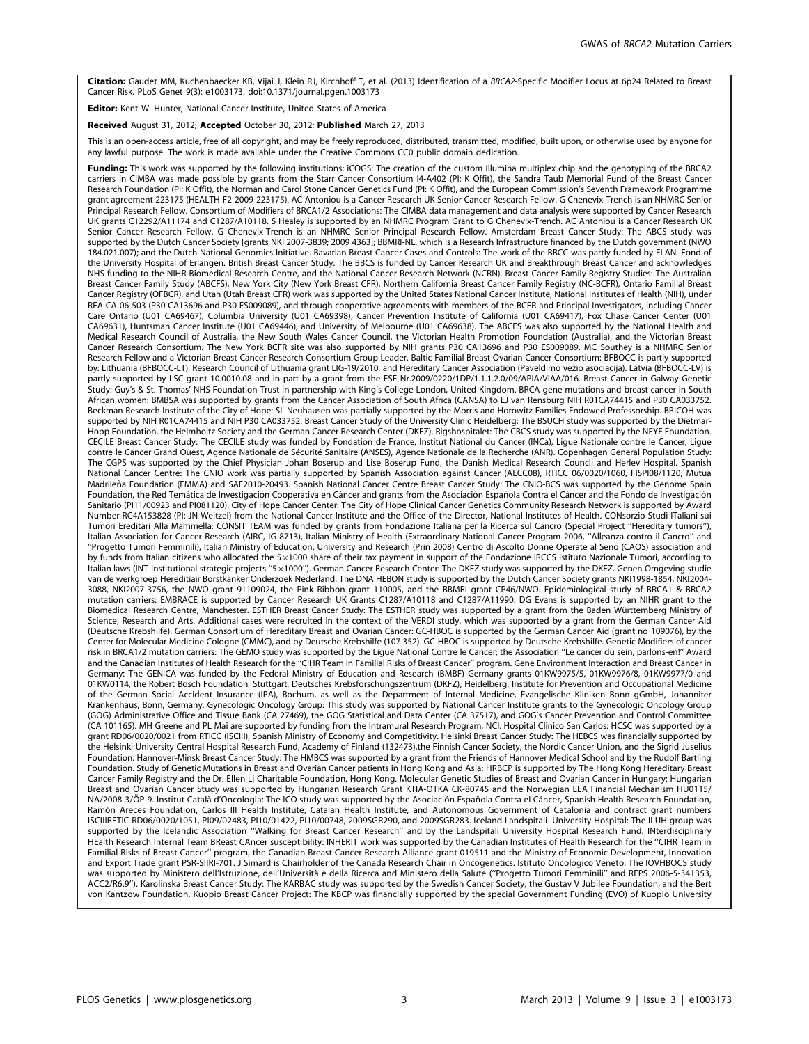Citation: Gaudet MM, Kuchenbaecker KB, Vijai J, Klein RJ, Kirchhoff T, et al. (2013) Identification of a BRCA2-Specific Modifier Locus at 6p24 Related to Breast Cancer Risk. PLoS Genet 9(3): e1003173. doi:10.1371/journal.pgen.1003173

**Editor:** Kent W. Hunter, National Cancer Institute, United States of America

#### Received August 31, 2012; Accepted October 30, 2012; Published March 27, 2013

This is an open-access article, free of all copyright, and may be freely reproduced, distributed, transmitted, modified, built upon, or otherwise used by anyone for any lawful purpose. The work is made available under the Creative Commons CC0 public domain dedication.

Funding: This work was supported by the following institutions: iCOGS: The creation of the custom Illumina multiplex chip and the genotyping of the BRCA2 carriers in CIMBA was made possible by grants from the Starr Cancer Consortium I4-A402 (PI: K Offit), the Sandra Taub Memorial Fund of the Breast Cancer Research Foundation (PI: K Offit), the Norman and Carol Stone Cancer Genetics Fund (PI: K Offit), and the European Commission's Seventh Framework Programme grant agreement 223175 (HEALTH-F2-2009-223175). AC Antoniou is a Cancer Research UK Senior Cancer Research Fellow. G Chenevix-Trench is an NHMRC Senior Principal Research Fellow. Consortium of Modifiers of BRCA1/2 Associations: The CIMBA data management and data analysis were supported by Cancer Research UK grants C12292/A11174 and C1287/A10118. S Healey is supported by an NHMRC Program Grant to G Chenevix-Trench. AC Antoniou is a Cancer Research UK Senior Cancer Research Fellow. G Chenevix-Trench is an NHMRC Senior Principal Research Fellow. Amsterdam Breast Cancer Study: The ABCS study was supported by the Dutch Cancer Society [grants NKI 2007-3839; 2009 4363]; BBMRI-NL, which is a Research Infrastructure financed by the Dutch government (NWO 184.021.007); and the Dutch National Genomics Initiative. Bavarian Breast Cancer Cases and Controls: The work of the BBCC was partly funded by ELAN–Fond of the University Hospital of Erlangen. British Breast Cancer Study: The BBCS is funded by Cancer Research UK and Breakthrough Breast Cancer and acknowledges NHS funding to the NIHR Biomedical Research Centre, and the National Cancer Research Network (NCRN). Breast Cancer Family Registry Studies: The Australian Breast Cancer Family Study (ABCFS), New York City (New York Breast CFR), Northern California Breast Cancer Family Registry (NC-BCFR), Ontario Familial Breast Cancer Registry (OFBCR), and Utah (Utah Breast CFR) work was supported by the United States National Cancer Institute, National Institutes of Health (NIH), under RFA-CA-06-503 (P30 CA13696 and P30 ES009089), and through cooperative agreements with members of the BCFR and Principal Investigators, including Cancer Care Ontario (U01 CA69467), Columbia University (U01 CA69398), Cancer Prevention Institute of California (U01 CA69417), Fox Chase Cancer Center (U01 CA69631), Huntsman Cancer Institute (U01 CA69446), and University of Melbourne (U01 CA69638). The ABCFS was also supported by the National Health and Medical Research Council of Australia, the New South Wales Cancer Council, the Victorian Health Promotion Foundation (Australia), and the Victorian Breast Cancer Research Consortium. The New York BCFR site was also supported by NIH grants P30 CA13696 and P30 ES009089. MC Southey is a NHMRC Senior Research Fellow and a Victorian Breast Cancer Research Consortium Group Leader. Baltic Familial Breast Ovarian Cancer Consortium: BFBOCC is partly supported by: Lithuania (BFBOCC-LT), Research Council of Lithuania grant LIG-19/2010, and Hereditary Cancer Association (Paveldimo vežio asociacija). Latvia (BFBOCC-LV) is partly supported by LSC grant 10.0010.08 and in part by a grant from the ESF Nr.2009/0220/1DP/1.1.1.2.0/09/APIA/VIAA/016. Breast Cancer in Galway Genetic Study: Guy's & St. Thomas' NHS Foundation Trust in partnership with King's College London, United Kingdom. BRCA-gene mutations and breast cancer in South African women: BMBSA was supported by grants from the Cancer Association of South Africa (CANSA) to EJ van Rensburg NIH R01CA74415 and P30 CA033752. Beckman Research Institute of the City of Hope: SL Neuhausen was partially supported by the Morris and Horowitz Families Endowed Professorship. BRICOH was supported by NIH R01CA74415 and NIH P30 CA033752. Breast Cancer Study of the University Clinic Heidelberg: The BSUCH study was supported by the Dietmar-Hopp Foundation, the Helmholtz Society and the German Cancer Research Center (DKFZ). Rigshospitalet: The CBCS study was supported by the NEYE Foundation. CECILE Breast Cancer Study: The CECILE study was funded by Fondation de France, Institut National du Cancer (INCa), Ligue Nationale contre le Cancer, Ligue contre le Cancer Grand Ouest, Agence Nationale de Sécurité Sanitaire (ANSES), Agence Nationale de la Recherche (ANR). Copenhagen General Population Study: The CGPS was supported by the Chief Physician Johan Boserup and Lise Boserup Fund, the Danish Medical Research Council and Herlev Hospital. Spanish National Cancer Centre: The CNIO work was partially supported by Spanish Association against Cancer (AECC08), RTICC 06/0020/1060, FISPI08/1120, Mutua<br>Madrileña Foundation (FMMA) and SAF2010-20493. Spanish National Cancer C Foundation, the Red Temática de Investigación Cooperativa en Cáncer and grants from the Asociación Española Contra el Cáncer and the Fondo de Investigación Sanitario (PI11/00923 and PI081120). City of Hope Cancer Center: The City of Hope Clinical Cancer Genetics Community Research Network is supported by Award Number RC4A153828 (PI: JN Weitzel) from the National Cancer Institute and the Office of the Director, National Institutes of Health. CONsorzio Studi ITaliani sui Tumori Ereditari Alla Mammella: CONSIT TEAM was funded by grants from Fondazione Italiana per la Ricerca sul Cancro (Special Project ''Hereditary tumors''), Italian Association for Cancer Research (AIRC, IG 8713), Italian Ministry of Health (Extraordinary National Cancer Program 2006, "Alleanza contro il Cancro" and<br>"Progetto Tumori Femminili), Italian Ministry of Education, U by funds from Italian citizens who allocated the 5×1000 share of their tax payment in support of the Fondazione IRCCS Istituto Nazionale Tumori, according to Italian laws (INT-Institutional strategic projects ''561000''). German Cancer Research Center: The DKFZ study was supported by the DKFZ. Genen Omgeving studie van de werkgroep Hereditiair Borstkanker Onderzoek Nederland: The DNA HEBON study is supported by the Dutch Cancer Society grants NKI1998-1854, NKI2004- 3088, NKI2007-3756, the NWO grant 91109024, the Pink Ribbon grant 110005, and the BBMRI grant CP46/NWO. Epidemiological study of BRCA1 & BRCA2<br>mutation carriers: EMBRACE is supported by Cancer Research UK Grants C1287/A101 Biomedical Research Centre, Manchester. ESTHER Breast Cancer Study: The ESTHER study was supported by a grant from the Baden Württemberg Ministry of Science, Research and Arts. Additional cases were recruited in the context of the VERDI study, which was supported by a grant from the German Cancer Aid (Deutsche Krebshilfe). German Consortium of Hereditary Breast and Ovarian Cancer: GC-HBOC is supported by the German Cancer Aid (grant no 109076), by the Center for Molecular Medicine Cologne (CMMC), and by Deutsche Krebshilfe (107 352). GC-HBOC is supported by Deutsche Krebshilfe. Genetic Modifiers of cancer risk in BRCA1/2 mutation carriers: The GEMO study was supported by the Ligue National Contre le Cancer; the Association ''Le cancer du sein, parlons-en!'' Award and the Canadian Institutes of Health Research for the "CIHR Team in Familial Risks of Breast Cancer" program. Gene Environment Interaction and Breast Cancer in Germany: The GENICA was funded by the Federal Ministry of Education and Research (BMBF) Germany grants 01KW9975/5, 01KW9976/8, 01KW9977/0 and 01KW0114, the Robert Bosch Foundation, Stuttgart, Deutsches Krebsforschungszentrum (DKFZ), Heidelberg, Institute for Prevention and Occupational Medicine of the German Social Accident Insurance (IPA), Bochum, as well as the Department of Internal Medicine, Evangelische Kliniken Bonn gGmbH, Johanniter Krankenhaus, Bonn, Germany. Gynecologic Oncology Group: This study was supported by National Cancer Institute grants to the Gynecologic Oncology Group (GOG) Administrative Office and Tissue Bank (CA 27469), the GOG Statistical and Data Center (CA 37517), and GOG's Cancer Prevention and Control Committee (CA 101165). MH Greene and PL Mai are supported by funding from the Intramural Research Program, NCI. Hospital Clinico San Carlos: HCSC was supported by a grant RD06/0020/0021 from RTICC (ISCIII), Spanish Ministry of Economy and Competitivity. Helsinki Breast Cancer Study: The HEBCS was financially supported by the Helsinki University Central Hospital Research Fund, Academy of Finland (132473),the Finnish Cancer Society, the Nordic Cancer Union, and the Sigrid Juselius Foundation. Hannover-Minsk Breast Cancer Study: The HMBCS was supported by a grant from the Friends of Hannover Medical School and by the Rudolf Bartling Foundation. Study of Genetic Mutations in Breast and Ovarian Cancer patients in Hong Kong and Asia: HRBCP is supported by The Hong Kong Hereditary Breast Cancer Family Registry and the Dr. Ellen Li Charitable Foundation, Hong Kong. Molecular Genetic Studies of Breast and Ovarian Cancer in Hungary: Hungarian Breast and Ovarian Cancer Study was supported by Hungarian Research Grant KTIA-OTKA CK-80745 and the Norwegian EEA Financial Mechanism HU0115/ NA/2008-3/OP-9. Institut Catala d'Oncologia: The ICO study was supported by the Asociación Espanola Contra el Cáncer, Spanish Health Research Foundation, Ramón Areces Foundation, Carlos III Health Institute, Catalan Health Institute, and Autonomous Government of Catalonia and contract grant numbers ISCIIIRETIC RD06/0020/1051, PI09/02483, PI10/01422, PI10/00748, 2009SGR290, and 2009SGR283. Iceland Landspitali–University Hospital: The ILUH group was supported by the Icelandic Association ''Walking for Breast Cancer Research'' and by the Landspitali University Hospital Research Fund. INterdisciplinary HEalth Research Internal Team BReast CAncer susceptibility: INHERIT work was supported by the Canadian Institutes of Health Research for the ''CIHR Team in Familial Risks of Breast Cancer" program, the Canadian Breast Cancer Research Alliance grant 019511 and the Ministry of Economic Development, Innovation and Export Trade grant PSR-SIIRI-701. J Simard is Chairholder of the Canada Research Chair in Oncogenetics. Istituto Oncologico Veneto: The IOVHBOCS study was supported by Ministero dell'Istruzione, dell'Università e della Ricerca and Ministero della Salute ("Progetto Tumori Femminili" and RFPS 2006-5-341353, ACC2/R6.9''). Karolinska Breast Cancer Study: The KARBAC study was supported by the Swedish Cancer Society, the Gustav V Jubilee Foundation, and the Bert von Kantzow Foundation. Kuopio Breast Cancer Project: The KBCP was financially supported by the special Government Funding (EVO) of Kuopio University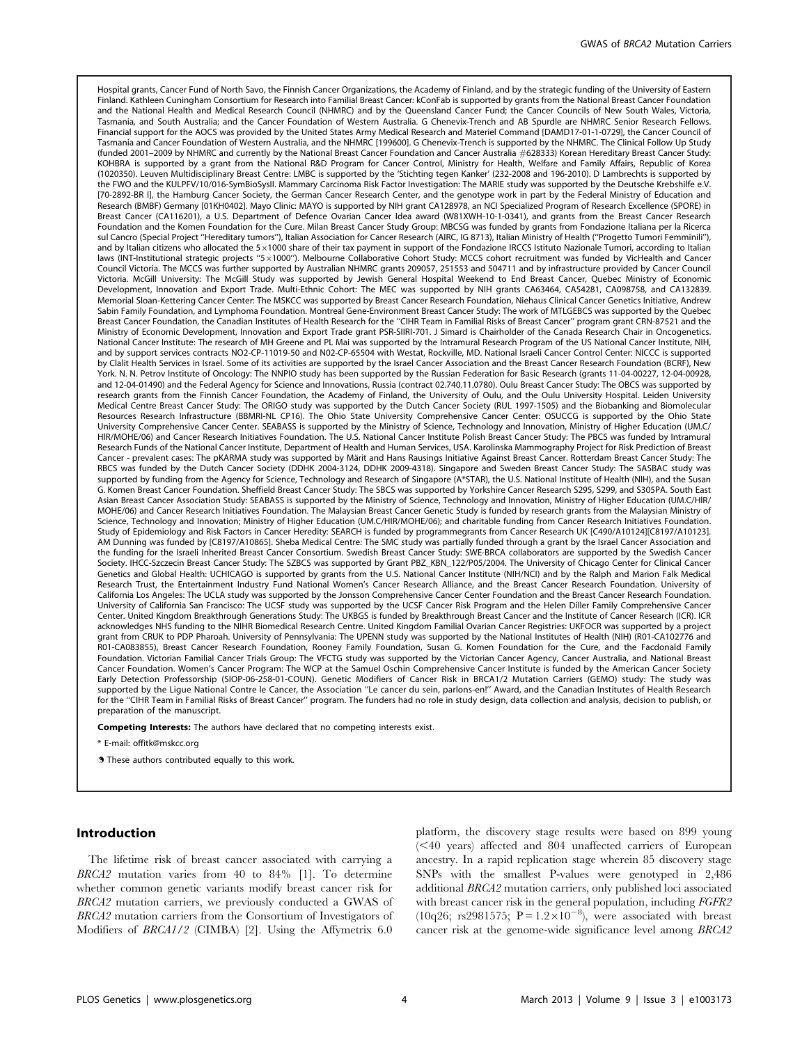Hospital grants, Cancer Fund of North Savo, the Finnish Cancer Organizations, the Academy of Finland, and by the strategic funding of the University of Eastern Finland. Kathleen Cuningham Consortium for Research into Familial Breast Cancer: kConFab is supported by grants from the National Breast Cancer Foundation and the National Health and Medical Research Council (NHMRC) and by the Queensland Cancer Fund; the Cancer Councils of New South Wales, Victoria, Tasmania, and South Australia; and the Cancer Foundation of Western Australia. G Chenevix-Trench and AB Spurdle are NHMRC Senior Research Fellows. Financial support for the AOCS was provided by the United States Army Medical Research and Materiel Command [DAMD17-01-1-0729], the Cancer Council of Tasmania and Cancer Foundation of Western Australia, and the NHMRC [199600]. G Chenevix-Trench is supported by the NHMRC. The Clinical Follow Up Study (funded 2001–2009 by NHMRC and currently by the National Breast Cancer Foundation and Cancer Australia #628333) Korean Hereditary Breast Cancer Study: KOHBRA is supported by a grant from the National R&D Program for Cancer Control, Ministry for Health, Welfare and Family Affairs, Republic of Korea (1020350). Leuven Multidisciplinary Breast Centre: LMBC is supported by the 'Stichting tegen Kanker' (232-2008 and 196-2010). D Lambrechts is supported by the FWO and the KULPFV/10/016-SymBioSysII. Mammary Carcinoma Risk Factor Investigation: The MARIE study was supported by the Deutsche Krebshilfe e.V. [70-2892-BR I], the Hamburg Cancer Society, the German Cancer Research Center, and the genotype work in part by the Federal Ministry of Education and Research (BMBF) Germany [01KH0402]. Mayo Clinic: MAYO is supported by NIH grant CA128978, an NCI Specialized Program of Research Excellence (SPORE) in Breast Cancer (CA116201), a U.S. Department of Defence Ovarian Cancer Idea award (W81XWH-10-1-0341), and grants from the Breast Cancer Research Foundation and the Komen Foundation for the Cure. Milan Breast Cancer Study Group: MBCSG was funded by grants from Fondazione Italiana per la Ricerca sul Cancro (Special Project ''Hereditary tumors''), Italian Association for Cancer Research (AIRC, IG 8713), Italian Ministry of Health (''Progetto Tumori Femminili''), and by Italian citizens who allocated the  $5\times1000$  share of their tax payment in support of the Fondazione IRCCS Istituto Nazionale Tumori, according to Italian laws (INT-Institutional strategic projects "5×1000"). Melbourne Collaborative Cohort Study: MCCS cohort recruitment was funded by VicHealth and Cancer Council Victoria. The MCCS was further supported by Australian NHMRC grants 209057, 251553 and 504711 and by infrastructure provided by Cancer Council Victoria. McGill University: The McGill Study was supported by Jewish General Hospital Weekend to End Breast Cancer, Quebec Ministry of Economic Development, Innovation and Export Trade. Multi-Ethnic Cohort: The MEC was supported by NIH grants CA63464, CA54281, CA098758, and CA132839. Memorial Sloan-Kettering Cancer Center: The MSKCC was supported by Breast Cancer Research Foundation, Niehaus Clinical Cancer Genetics Initiative, Andrew Sabin Family Foundation, and Lymphoma Foundation. Montreal Gene-Environment Breast Cancer Study: The work of MTLGEBCS was supported by the Quebec Breast Cancer Foundation, the Canadian Institutes of Health Research for the ''CIHR Team in Familial Risks of Breast Cancer'' program grant CRN-87521 and the Ministry of Economic Development, Innovation and Export Trade grant PSR-SIIRI-701. J Simard is Chairholder of the Canada Research Chair in Oncogenetics. National Cancer Institute: The research of MH Greene and PL Mai was supported by the Intramural Research Program of the US National Cancer Institute, NIH, and by support services contracts NO2-CP-11019-50 and N02-CP-65504 with Westat, Rockville, MD. National Israeli Cancer Control Center: NICCC is supported by Clalit Health Services in Israel. Some of its activities are supported by the Israel Cancer Association and the Breast Cancer Research Foundation (BCRF), New York. N. N. Petrov Institute of Oncology: The NNPIO study has been supported by the Russian Federation for Basic Research (grants 11-04-00227, 12-04-00928, and 12-04-01490) and the Federal Agency for Science and Innovations, Russia (contract 02.740.11.0780). Oulu Breast Cancer Study: The OBCS was supported by research grants from the Finnish Cancer Foundation, the Academy of Finland, the University of Oulu, and the Oulu University Hospital. Leiden University Medical Centre Breast Cancer Study: The ORIGO study was supported by the Dutch Cancer Society (RUL 1997-1505) and the Biobanking and Biomolecular Resources Research Infrastructure (BBMRI-NL CP16). The Ohio State University Comprehensive Cancer Center: OSUCCG is supported by the Ohio State University Comprehensive Cancer Center. SEABASS is supported by the Ministry of Science, Technology and Innovation, Ministry of Higher Education (UM.C/ HlR/MOHE/06) and Cancer Research Initiatives Foundation. The U.S. National Cancer Institute Polish Breast Cancer Study: The PBCS was funded by Intramural Research Funds of the National Cancer Institute, Department of Health and Human Services, USA. Karolinska Mammography Project for Risk Prediction of Breast Cancer - prevalent cases: The pKARMA study was supported by Märit and Hans Rausings Initiative Against Breast Cancer. Rotterdam Breast Cancer Study: The RBCS was funded by the Dutch Cancer Society (DDHK 2004-3124, DDHK 2009-4318). Singapore and Sweden Breast Cancer Study: The SASBAC study was supported by funding from the Agency for Science, Technology and Research of Singapore (A\*STAR), the U.S. National Institute of Health (NIH), and the Susan G. Komen Breast Cancer Foundation. Sheffield Breast Cancer Study: The SBCS was supported by Yorkshire Cancer Research S295, S299, and S305PA. South East Asian Breast Cancer Association Study: SEABASS is supported by the Ministry of Science, Technology and Innovation, Ministry of Higher Education (UM.C/HlR/ MOHE/06) and Cancer Research Initiatives Foundation. The Malaysian Breast Cancer Genetic Study is funded by research grants from the Malaysian Ministry of Science, Technology and Innovation; Ministry of Higher Education (UM.C/HIR/MOHE/06); and charitable funding from Cancer Research Initiatives Foundation. Study of Epidemiology and Risk Factors in Cancer Heredity: SEARCH is funded by programmegrants from Cancer Research UK [C490/A10124][C8197/A10123]. AM Dunning was funded by [C8197/A10865]. Sheba Medical Centre: The SMC study was partially funded through a grant by the Israel Cancer Association and the funding for the Israeli Inherited Breast Cancer Consortium. Swedish Breast Cancer Study: SWE-BRCA collaborators are supported by the Swedish Cancer Society. IHCC-Szczecin Breast Cancer Study: The SZBCS was supported by Grant PBZ\_KBN\_122/P05/2004. The University of Chicago Center for Clinical Cancer Genetics and Global Health: UCHICAGO is supported by grants from the U.S. National Cancer Institute (NIH/NCI) and by the Ralph and Marion Falk Medical Research Trust, the Entertainment Industry Fund National Women's Cancer Research Alliance, and the Breast Cancer Research Foundation. University of California Los Angeles: The UCLA study was supported by the Jonsson Comprehensive Cancer Center Foundation and the Breast Cancer Research Foundation. University of California San Francisco: The UCSF study was supported by the UCSF Cancer Risk Program and the Helen Diller Family Comprehensive Cancer Center. United Kingdom Breakthrough Generations Study: The UKBGS is funded by Breakthrough Breast Cancer and the Institute of Cancer Research (ICR). ICR acknowledges NHS funding to the NIHR Biomedical Research Centre. United Kingdom Familial Ovarian Cancer Registries: UKFOCR was supported by a project grant from CRUK to PDP Pharoah. University of Pennsylvania: The UPENN study was supported by the National Institutes of Health (NIH) (R01-CA102776 and R01-CA083855), Breast Cancer Research Foundation, Rooney Family Foundation, Susan G. Komen Foundation for the Cure, and the Facdonald Family Foundation. Victorian Familial Cancer Trials Group: The VFCTG study was supported by the Victorian Cancer Agency, Cancer Australia, and National Breast Cancer Foundation. Women's Cancer Program: The WCP at the Samuel Oschin Comprehensive Cancer Institute is funded by the American Cancer Society Early Detection Professorship (SIOP-06-258-01-COUN). Genetic Modifiers of Cancer Risk in BRCA1/2 Mutation Carriers (GEMO) study: The study was supported by the Ligue National Contre le Cancer, the Association ''Le cancer du sein, parlons-en!'' Award, and the Canadian Institutes of Health Research for the ''CIHR Team in Familial Risks of Breast Cancer'' program. The funders had no role in study design, data collection and analysis, decision to publish, or preparation of the manuscript.

Competing Interests: The authors have declared that no competing interests exist.

\* E-mail: offitk@mskcc.org

. These authors contributed equally to this work.

## Introduction

The lifetime risk of breast cancer associated with carrying a BRCA2 mutation varies from 40 to 84% [1]. To determine whether common genetic variants modify breast cancer risk for BRCA2 mutation carriers, we previously conducted a GWAS of BRCA2 mutation carriers from the Consortium of Investigators of Modifiers of BRCA1/2 (CIMBA) [2]. Using the Affymetrix 6.0

platform, the discovery stage results were based on 899 young  $( $40$  years) affected and 804 unaffected carriers of European$ ancestry. In a rapid replication stage wherein 85 discovery stage SNPs with the smallest P-values were genotyped in 2,486 additional BRCA2 mutation carriers, only published loci associated with breast cancer risk in the general population, including FGFR2 (10q26; rs2981575;  $P = 1.2 \times 10^{-8}$ ), were associated with breast cancer risk at the genome-wide significance level among BRCA2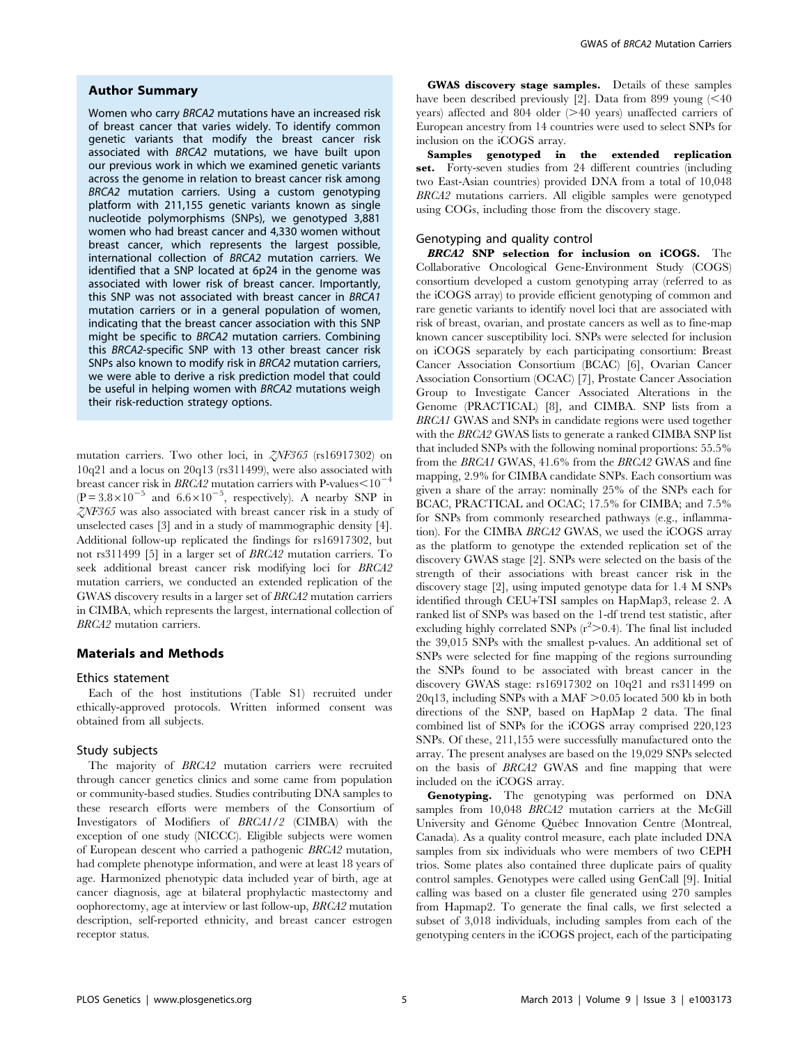## Author Summary

Women who carry BRCA2 mutations have an increased risk of breast cancer that varies widely. To identify common genetic variants that modify the breast cancer risk associated with BRCA2 mutations, we have built upon our previous work in which we examined genetic variants across the genome in relation to breast cancer risk among BRCA2 mutation carriers. Using a custom genotyping platform with 211,155 genetic variants known as single nucleotide polymorphisms (SNPs), we genotyped 3,881 women who had breast cancer and 4,330 women without breast cancer, which represents the largest possible, international collection of BRCA2 mutation carriers. We identified that a SNP located at 6p24 in the genome was associated with lower risk of breast cancer. Importantly, this SNP was not associated with breast cancer in BRCA1 mutation carriers or in a general population of women, indicating that the breast cancer association with this SNP might be specific to BRCA2 mutation carriers. Combining this BRCA2-specific SNP with 13 other breast cancer risk SNPs also known to modify risk in BRCA2 mutation carriers, we were able to derive a risk prediction model that could be useful in helping women with BRCA2 mutations weigh their risk-reduction strategy options.

mutation carriers. Two other loci, in ZNF365 (rs16917302) on 10q21 and a locus on 20q13 (rs311499), were also associated with breast cancer risk in BRCA2 mutation carriers with P-values $<$ 10<sup>-4</sup>  $(P = 3.8 \times 10^{-5}$  and  $6.6 \times 10^{-5}$ , respectively). A nearby SNP in ZNF365 was also associated with breast cancer risk in a study of unselected cases [3] and in a study of mammographic density [4]. Additional follow-up replicated the findings for rs16917302, but not rs311499 [5] in a larger set of BRCA2 mutation carriers. To seek additional breast cancer risk modifying loci for BRCA2 mutation carriers, we conducted an extended replication of the GWAS discovery results in a larger set of BRCA2 mutation carriers in CIMBA, which represents the largest, international collection of BRCA2 mutation carriers.

## Materials and Methods

## Ethics statement

Each of the host institutions (Table S1) recruited under ethically-approved protocols. Written informed consent was obtained from all subjects.

#### Study subjects

The majority of BRCA2 mutation carriers were recruited through cancer genetics clinics and some came from population or community-based studies. Studies contributing DNA samples to these research efforts were members of the Consortium of Investigators of Modifiers of BRCA1/2 (CIMBA) with the exception of one study (NICCC). Eligible subjects were women of European descent who carried a pathogenic BRCA2 mutation, had complete phenotype information, and were at least 18 years of age. Harmonized phenotypic data included year of birth, age at cancer diagnosis, age at bilateral prophylactic mastectomy and oophorectomy, age at interview or last follow-up, BRCA2 mutation description, self-reported ethnicity, and breast cancer estrogen receptor status.

GWAS discovery stage samples. Details of these samples have been described previously [2]. Data from 899 young  $\leq 40$ years) affected and 804 older  $($ >40 years) unaffected carriers of European ancestry from 14 countries were used to select SNPs for inclusion on the iCOGS array.

Samples genotyped in the extended replication set. Forty-seven studies from 24 different countries (including two East-Asian countries) provided DNA from a total of 10,048 BRCA2 mutations carriers. All eligible samples were genotyped using COGs, including those from the discovery stage.

#### Genotyping and quality control

BRCA2 SNP selection for inclusion on iCOGS. The Collaborative Oncological Gene-Environment Study (COGS) consortium developed a custom genotyping array (referred to as the iCOGS array) to provide efficient genotyping of common and rare genetic variants to identify novel loci that are associated with risk of breast, ovarian, and prostate cancers as well as to fine-map known cancer susceptibility loci. SNPs were selected for inclusion on iCOGS separately by each participating consortium: Breast Cancer Association Consortium (BCAC) [6], Ovarian Cancer Association Consortium (OCAC) [7], Prostate Cancer Association Group to Investigate Cancer Associated Alterations in the Genome (PRACTICAL) [8], and CIMBA. SNP lists from a BRCA1 GWAS and SNPs in candidate regions were used together with the BRCA2 GWAS lists to generate a ranked CIMBA SNP list that included SNPs with the following nominal proportions: 55.5% from the BRCA1 GWAS, 41.6% from the BRCA2 GWAS and fine mapping, 2.9% for CIMBA candidate SNPs. Each consortium was given a share of the array: nominally 25% of the SNPs each for BCAC, PRACTICAL and OCAC; 17.5% for CIMBA; and 7.5% for SNPs from commonly researched pathways (e.g., inflammation). For the CIMBA BRCA2 GWAS, we used the iCOGS array as the platform to genotype the extended replication set of the discovery GWAS stage [2]. SNPs were selected on the basis of the strength of their associations with breast cancer risk in the discovery stage [2], using imputed genotype data for 1.4 M SNPs identified through CEU+TSI samples on HapMap3, release 2. A ranked list of SNPs was based on the 1-df trend test statistic, after excluding highly correlated SNPs  $(r^2>0.4)$ . The final list included the 39,015 SNPs with the smallest p-values. An additional set of SNPs were selected for fine mapping of the regions surrounding the SNPs found to be associated with breast cancer in the discovery GWAS stage: rs16917302 on 10q21 and rs311499 on  $20q13$ , including SNPs with a MAF  $> 0.05$  located 500 kb in both directions of the SNP, based on HapMap 2 data. The final combined list of SNPs for the iCOGS array comprised 220,123 SNPs. Of these, 211,155 were successfully manufactured onto the array. The present analyses are based on the 19,029 SNPs selected on the basis of BRCA2 GWAS and fine mapping that were included on the iCOGS array.

Genotyping. The genotyping was performed on DNA samples from 10,048 *BRCA2* mutation carriers at the McGill University and Génome Québec Innovation Centre (Montreal, Canada). As a quality control measure, each plate included DNA samples from six individuals who were members of two CEPH trios. Some plates also contained three duplicate pairs of quality control samples. Genotypes were called using GenCall [9]. Initial calling was based on a cluster file generated using 270 samples from Hapmap2. To generate the final calls, we first selected a subset of 3,018 individuals, including samples from each of the genotyping centers in the iCOGS project, each of the participating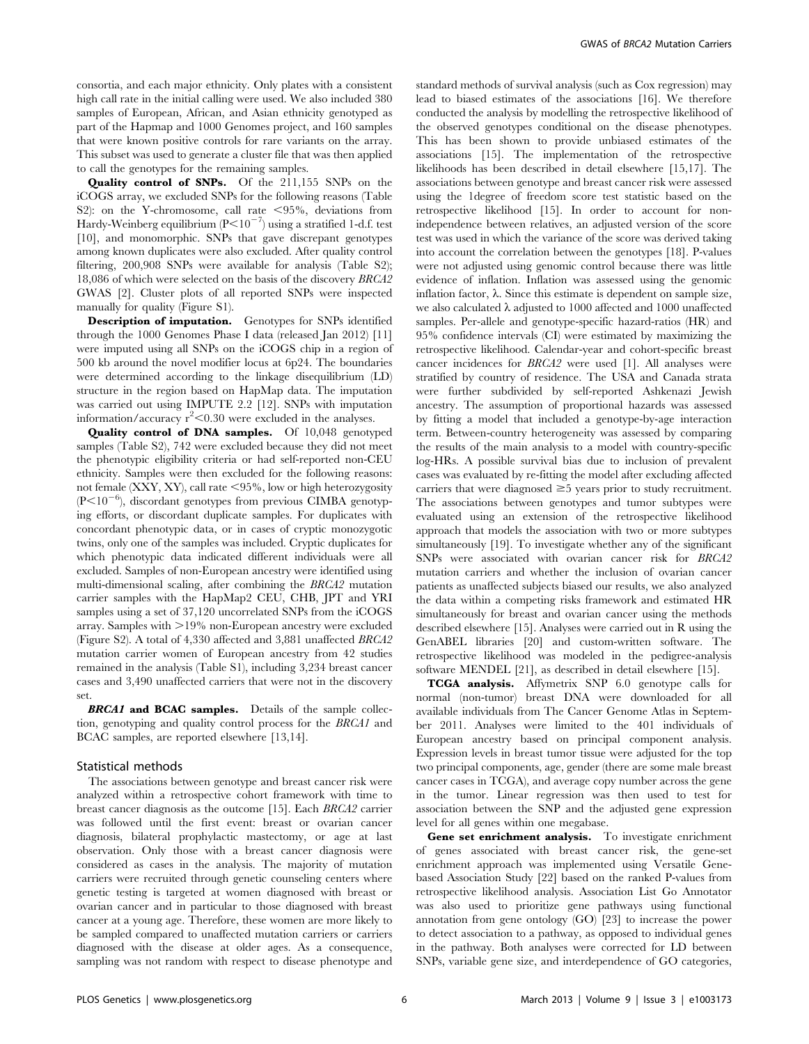consortia, and each major ethnicity. Only plates with a consistent high call rate in the initial calling were used. We also included 380 samples of European, African, and Asian ethnicity genotyped as part of the Hapmap and 1000 Genomes project, and 160 samples that were known positive controls for rare variants on the array. This subset was used to generate a cluster file that was then applied to call the genotypes for the remaining samples.

Quality control of SNPs. Of the 211,155 SNPs on the iCOGS array, we excluded SNPs for the following reasons (Table S2): on the Y-chromosome, call rate  $\leq 95\%$ , deviations from Hardy-Weinberg equilibrium  $(P<10^{-7})$  using a stratified 1-d.f. test [10], and monomorphic. SNPs that gave discrepant genotypes among known duplicates were also excluded. After quality control filtering, 200,908 SNPs were available for analysis (Table S2); 18,086 of which were selected on the basis of the discovery BRCA2 GWAS [2]. Cluster plots of all reported SNPs were inspected manually for quality (Figure S1).

Description of imputation. Genotypes for SNPs identified through the 1000 Genomes Phase I data (released Jan 2012) [11] were imputed using all SNPs on the iCOGS chip in a region of 500 kb around the novel modifier locus at 6p24. The boundaries were determined according to the linkage disequilibrium (LD) structure in the region based on HapMap data. The imputation was carried out using IMPUTE 2.2 [12]. SNPs with imputation information/accuracy  $r^2$ <0.30 were excluded in the analyses.

Quality control of DNA samples. Of 10,048 genotyped samples (Table S2), 742 were excluded because they did not meet the phenotypic eligibility criteria or had self-reported non-CEU ethnicity. Samples were then excluded for the following reasons: not female  $(XXY, XY)$ , call rate  $\leq 95\%$ , low or high heterozygosity  $($ P<10<sup>-6</sup>), discordant genotypes from previous CIMBA genotyping efforts, or discordant duplicate samples. For duplicates with concordant phenotypic data, or in cases of cryptic monozygotic twins, only one of the samples was included. Cryptic duplicates for which phenotypic data indicated different individuals were all excluded. Samples of non-European ancestry were identified using multi-dimensional scaling, after combining the BRCA2 mutation carrier samples with the HapMap2 CEU, CHB, JPT and YRI samples using a set of 37,120 uncorrelated SNPs from the iCOGS array. Samples with  $>19\%$  non-European ancestry were excluded (Figure S2). A total of 4,330 affected and 3,881 unaffected BRCA2 mutation carrier women of European ancestry from 42 studies remained in the analysis (Table S1), including 3,234 breast cancer cases and 3,490 unaffected carriers that were not in the discovery set.

**BRCA1** and BCAC samples. Details of the sample collection, genotyping and quality control process for the BRCA1 and BCAC samples, are reported elsewhere [13,14].

#### Statistical methods

The associations between genotype and breast cancer risk were analyzed within a retrospective cohort framework with time to breast cancer diagnosis as the outcome [15]. Each BRCA2 carrier was followed until the first event: breast or ovarian cancer diagnosis, bilateral prophylactic mastectomy, or age at last observation. Only those with a breast cancer diagnosis were considered as cases in the analysis. The majority of mutation carriers were recruited through genetic counseling centers where genetic testing is targeted at women diagnosed with breast or ovarian cancer and in particular to those diagnosed with breast cancer at a young age. Therefore, these women are more likely to be sampled compared to unaffected mutation carriers or carriers diagnosed with the disease at older ages. As a consequence, sampling was not random with respect to disease phenotype and standard methods of survival analysis (such as Cox regression) may lead to biased estimates of the associations [16]. We therefore conducted the analysis by modelling the retrospective likelihood of the observed genotypes conditional on the disease phenotypes. This has been shown to provide unbiased estimates of the associations [15]. The implementation of the retrospective likelihoods has been described in detail elsewhere [15,17]. The associations between genotype and breast cancer risk were assessed using the 1degree of freedom score test statistic based on the retrospective likelihood [15]. In order to account for nonindependence between relatives, an adjusted version of the score test was used in which the variance of the score was derived taking into account the correlation between the genotypes [18]. P-values were not adjusted using genomic control because there was little evidence of inflation. Inflation was assessed using the genomic inflation factor,  $\lambda$ . Since this estimate is dependent on sample size, we also calculated  $\lambda$  adjusted to 1000 affected and 1000 unaffected samples. Per-allele and genotype-specific hazard-ratios (HR) and 95% confidence intervals (CI) were estimated by maximizing the retrospective likelihood. Calendar-year and cohort-specific breast cancer incidences for BRCA2 were used [1]. All analyses were stratified by country of residence. The USA and Canada strata were further subdivided by self-reported Ashkenazi Jewish ancestry. The assumption of proportional hazards was assessed by fitting a model that included a genotype-by-age interaction term. Between-country heterogeneity was assessed by comparing the results of the main analysis to a model with country-specific log-HRs. A possible survival bias due to inclusion of prevalent cases was evaluated by re-fitting the model after excluding affected carriers that were diagnosed  $\geq$ 5 years prior to study recruitment. The associations between genotypes and tumor subtypes were evaluated using an extension of the retrospective likelihood approach that models the association with two or more subtypes simultaneously [19]. To investigate whether any of the significant SNPs were associated with ovarian cancer risk for BRCA2 mutation carriers and whether the inclusion of ovarian cancer patients as unaffected subjects biased our results, we also analyzed the data within a competing risks framework and estimated HR simultaneously for breast and ovarian cancer using the methods described elsewhere [15]. Analyses were carried out in R using the GenABEL libraries [20] and custom-written software. The retrospective likelihood was modeled in the pedigree-analysis software MENDEL [21], as described in detail elsewhere [15].

TCGA analysis. Affymetrix SNP 6.0 genotype calls for normal (non-tumor) breast DNA were downloaded for all available individuals from The Cancer Genome Atlas in September 2011. Analyses were limited to the 401 individuals of European ancestry based on principal component analysis. Expression levels in breast tumor tissue were adjusted for the top two principal components, age, gender (there are some male breast cancer cases in TCGA), and average copy number across the gene in the tumor. Linear regression was then used to test for association between the SNP and the adjusted gene expression level for all genes within one megabase.

Gene set enrichment analysis. To investigate enrichment of genes associated with breast cancer risk, the gene-set enrichment approach was implemented using Versatile Genebased Association Study [22] based on the ranked P-values from retrospective likelihood analysis. Association List Go Annotator was also used to prioritize gene pathways using functional annotation from gene ontology (GO) [23] to increase the power to detect association to a pathway, as opposed to individual genes in the pathway. Both analyses were corrected for LD between SNPs, variable gene size, and interdependence of GO categories,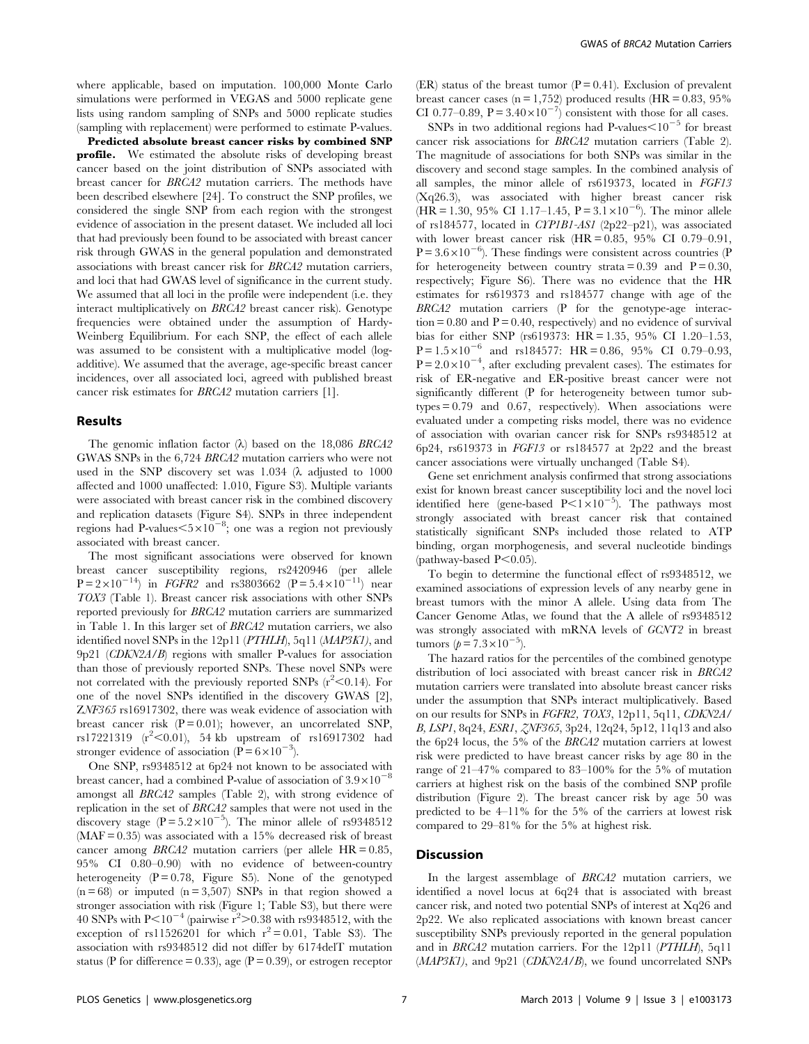where applicable, based on imputation. 100,000 Monte Carlo simulations were performed in VEGAS and 5000 replicate gene lists using random sampling of SNPs and 5000 replicate studies (sampling with replacement) were performed to estimate P-values.

Predicted absolute breast cancer risks by combined SNP profile. We estimated the absolute risks of developing breast cancer based on the joint distribution of SNPs associated with breast cancer for BRCA2 mutation carriers. The methods have been described elsewhere [24]. To construct the SNP profiles, we considered the single SNP from each region with the strongest evidence of association in the present dataset. We included all loci that had previously been found to be associated with breast cancer risk through GWAS in the general population and demonstrated associations with breast cancer risk for BRCA2 mutation carriers, and loci that had GWAS level of significance in the current study. We assumed that all loci in the profile were independent (i.e. they interact multiplicatively on BRCA2 breast cancer risk). Genotype frequencies were obtained under the assumption of Hardy-Weinberg Equilibrium. For each SNP, the effect of each allele was assumed to be consistent with a multiplicative model (logadditive). We assumed that the average, age-specific breast cancer incidences, over all associated loci, agreed with published breast cancer risk estimates for BRCA2 mutation carriers [1].

## Results

The genomic inflation factor  $(\lambda)$  based on the 18,086 BRCA2 GWAS SNPs in the 6,724 BRCA2 mutation carriers who were not used in the SNP discovery set was  $1.034$  ( $\lambda$  adjusted to 1000 affected and 1000 unaffected: 1.010, Figure S3). Multiple variants were associated with breast cancer risk in the combined discovery and replication datasets (Figure S4). SNPs in three independent regions had P-values $<$ 5 $\times$ 10<sup>-8</sup>; one was a region not previously associated with breast cancer.

The most significant associations were observed for known breast cancer susceptibility regions, rs2420946 (per allele  $P=2\times10^{-14}$  in *FGFR2* and rs3803662 (P = 5.4 $\times10^{-11}$ ) near TOX3 (Table 1). Breast cancer risk associations with other SNPs reported previously for BRCA2 mutation carriers are summarized in Table 1. In this larger set of BRCA2 mutation carriers, we also identified novel SNPs in the 12p11 (PTHLH), 5q11 (MAP3K1), and 9p21 (CDKN2A/B) regions with smaller P-values for association than those of previously reported SNPs. These novel SNPs were not correlated with the previously reported SNPs  $(r^2<0.14)$ . For one of the novel SNPs identified in the discovery GWAS [2], ZNF365 rs16917302, there was weak evidence of association with breast cancer risk  $(P = 0.01)$ ; however, an uncorrelated SNP,  $rs17221319$   $(r^2<0.01)$ , 54 kb upstream of  $rs16917302$  had stronger evidence of association ( $\vec{P} = 6 \times 10^{-3}$ ).

One SNP, rs9348512 at 6p24 not known to be associated with breast cancer, had a combined P-value of association of  $3.9\times10^{-8}$ amongst all BRCA2 samples (Table 2), with strong evidence of replication in the set of BRCA2 samples that were not used in the discovery stage  $(P = 5.2 \times 10^{-5})$ . The minor allele of rs9348512  $(MAF = 0.35)$  was associated with a 15% decreased risk of breast cancer among  $BRCA2$  mutation carriers (per allele  $HR = 0.85$ , 95% CI 0.80–0.90) with no evidence of between-country heterogeneity  $(P = 0.78,$  Figure S5). None of the genotyped  $(n = 68)$  or imputed  $(n = 3,507)$  SNPs in that region showed a stronger association with risk (Figure 1; Table S3), but there were 40 SNPs with  $P<10^{-4}$  (pairwise r<sup>2</sup>>0.38 with rs9348512, with the exception of rs11526201 for which  $r^2 = 0.01$ , Table S3). The association with rs9348512 did not differ by 6174delT mutation status (P for difference = 0.33), age ( $P = 0.39$ ), or estrogen receptor

 $(ER)$  status of the breast tumor  $(P = 0.41)$ . Exclusion of prevalent breast cancer cases ( $n = 1,752$ ) produced results ( $HR = 0.83, 95\%$ ) CI 0.77–0.89,  $P = 3.40 \times 10^{-7}$  consistent with those for all cases.

SNPs in two additional regions had P-values $<$ 10<sup>-5</sup> for breast cancer risk associations for BRCA2 mutation carriers (Table 2). The magnitude of associations for both SNPs was similar in the discovery and second stage samples. In the combined analysis of all samples, the minor allele of rs619373, located in FGF13 (Xq26.3), was associated with higher breast cancer risk  $(HR = 1.30, 95\% \text{ CI } 1.17 - 1.45, P = 3.1 \times 10^{-6}).$  The minor allele of rs184577, located in CYP1B1-AS1 (2p22–p21), was associated with lower breast cancer risk  $(HR = 0.85, 95\% \text{ CI } 0.79-0.91,$  $P = 3.6 \times 10^{-6}$ ). These findings were consistent across countries (P for heterogeneity between country strata  $= 0.39$  and  $P = 0.30$ , respectively; Figure S6). There was no evidence that the HR estimates for rs619373 and rs184577 change with age of the BRCA2 mutation carriers (P for the genotype-age interac- $\text{tion} = 0.80$  and  $P = 0.40$ , respectively) and no evidence of survival bias for either SNP (rs619373: HR = 1.35, 95% CI 1.20–1.53,  $P = 1.5 \times 10^{-6}$  and rs184577: HR = 0.86, 95% CI 0.79–0.93,  $P = 2.0 \times 10^{-4}$ , after excluding prevalent cases). The estimates for risk of ER-negative and ER-positive breast cancer were not significantly different (P for heterogeneity between tumor sub $types = 0.79$  and 0.67, respectively). When associations were evaluated under a competing risks model, there was no evidence of association with ovarian cancer risk for SNPs rs9348512 at 6p24, rs619373 in FGF13 or rs184577 at 2p22 and the breast cancer associations were virtually unchanged (Table S4).

Gene set enrichment analysis confirmed that strong associations exist for known breast cancer susceptibility loci and the novel loci identified here (gene-based  $P<1\times10^{-5}$ ). The pathways most strongly associated with breast cancer risk that contained statistically significant SNPs included those related to ATP binding, organ morphogenesis, and several nucleotide bindings (pathway-based  $P<0.05$ ).

To begin to determine the functional effect of rs9348512, we examined associations of expression levels of any nearby gene in breast tumors with the minor A allele. Using data from The Cancer Genome Atlas, we found that the A allele of rs9348512 was strongly associated with mRNA levels of GCNT2 in breast tumors  $(p = 7.3 \times 10^{-5})$ .

The hazard ratios for the percentiles of the combined genotype distribution of loci associated with breast cancer risk in BRCA2 mutation carriers were translated into absolute breast cancer risks under the assumption that SNPs interact multiplicatively. Based on our results for SNPs in FGFR2, TOX3, 12p11, 5q11, CDKN2A/ B, LSP1, 8q24, ESR1, ZNF365, 3p24, 12q24, 5p12, 11q13 and also the 6p24 locus, the 5% of the BRCA2 mutation carriers at lowest risk were predicted to have breast cancer risks by age 80 in the range of 21–47% compared to 83–100% for the 5% of mutation carriers at highest risk on the basis of the combined SNP profile distribution (Figure 2). The breast cancer risk by age 50 was predicted to be 4–11% for the 5% of the carriers at lowest risk compared to 29–81% for the 5% at highest risk.

## **Discussion**

In the largest assemblage of BRCA2 mutation carriers, we identified a novel locus at 6q24 that is associated with breast cancer risk, and noted two potential SNPs of interest at Xq26 and 2p22. We also replicated associations with known breast cancer susceptibility SNPs previously reported in the general population and in BRCA2 mutation carriers. For the 12p11 (PTHLH), 5q11  $(MAP3K1)$ , and 9p21  $(CDKN2A/B)$ , we found uncorrelated SNPs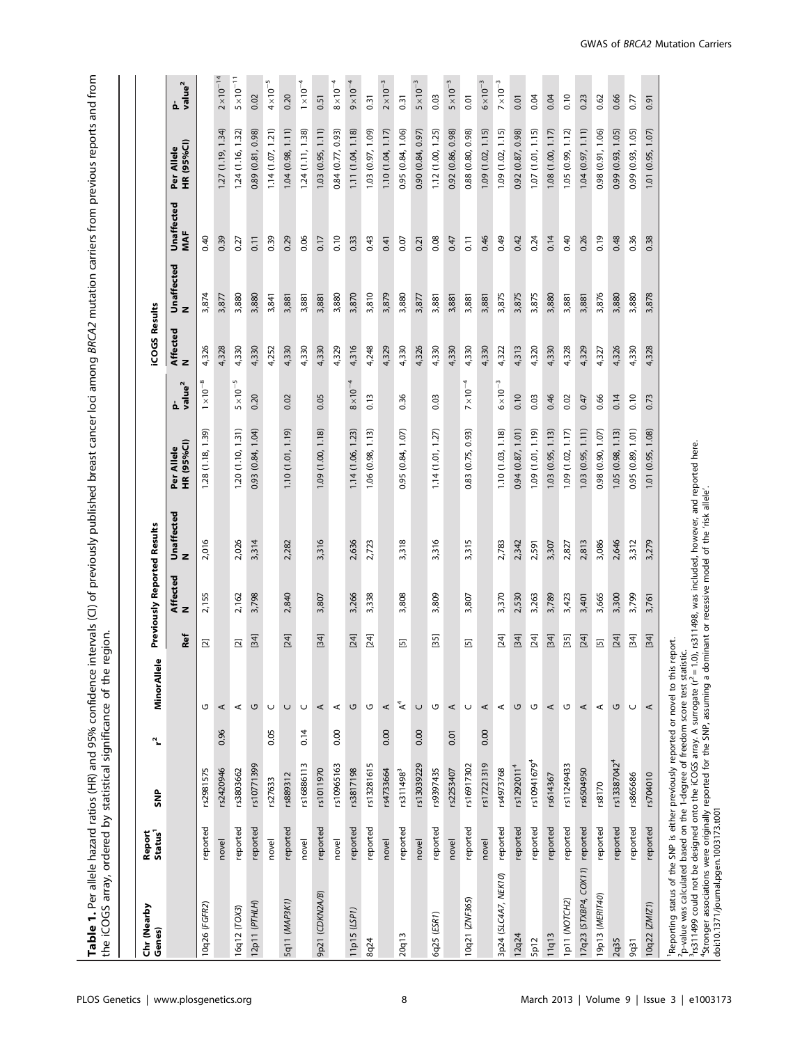**Table 1.** Per allele hazard ratios (HR) and 95% confidence intervals (CI) of previously published breast cancer loci among *BRCA2* mutation carriers from previous reports and from<br>the iCOGS array, ordered by statistical s Table 1. Per allele hazard ratios (HR) and 95% confidence intervals (CI) of previously published breast cancer loci among BRCA2 mutation carriers from previous reports and from the iCOGS array, ordered by statistical significance of the region.

| Chr (Nearby<br>Genes)                                                                                                                                                                                                                                                                                                                                                                                                                                                           | Status <sup>1</sup><br>Report | š                       | ใ    | MinorAllele    |                  | <b>Previously Reported Results</b> |                 |                                 |                         | <b>iCOGS Results</b>     |                 |                   |                          |                         |
|---------------------------------------------------------------------------------------------------------------------------------------------------------------------------------------------------------------------------------------------------------------------------------------------------------------------------------------------------------------------------------------------------------------------------------------------------------------------------------|-------------------------------|-------------------------|------|----------------|------------------|------------------------------------|-----------------|---------------------------------|-------------------------|--------------------------|-----------------|-------------------|--------------------------|-------------------------|
|                                                                                                                                                                                                                                                                                                                                                                                                                                                                                 |                               |                         |      |                | Ref              | Affected<br>N                      | Unaffected<br>z | <b>HR (95%CI)</b><br>Per Allele | value <sup>2</sup><br>ݟ | Affected<br>$\mathbf{z}$ | Unaffected<br>z | Unaffected<br>MAF | HR (95%CI)<br>Per Allele | value <sup>2</sup><br>ά |
| 10q26 (FGFR2)                                                                                                                                                                                                                                                                                                                                                                                                                                                                   | reported                      | rs2981575               |      | G              | Ξ                | 2,155                              | 2,016           | 1.28(1.18, 1.39)                | $1\times10^{-8}$        | 4,326                    | 3,874           | 0.40              |                          |                         |
|                                                                                                                                                                                                                                                                                                                                                                                                                                                                                 | novel                         | rs2420946               | 0.96 | ⋖              |                  |                                    |                 |                                 |                         | 4,328                    | 3,877           | 0.39              | 1.27(1.19, 1.34)         | $2 \times 10^{-14}$     |
| 16q12 (TOX3)                                                                                                                                                                                                                                                                                                                                                                                                                                                                    | reported                      | rs3803662               |      | ⋖              | $\overline{\Xi}$ | 2,162                              | 2,026           | 1.20 (1.10, 1.31)               | $5 \times 10^{-5}$      | 4,330                    | 3,880           | 0.27              | 1.24(1.16, 1.32)         | $5 \times 10^{-11}$     |
| 12p11 (PTHLH)                                                                                                                                                                                                                                                                                                                                                                                                                                                                   | reported                      | rs10771399              |      | G              | [34]             | 3,798                              | 3,314           | 0.93 (0.84, 1.04)               | 0.20                    | 4,330                    | 3,880           | $\overline{0.11}$ | 0.89 (0.81, 0.98)        | 0.02                    |
|                                                                                                                                                                                                                                                                                                                                                                                                                                                                                 | novel                         | rs27633                 | 0.05 | U              |                  |                                    |                 |                                 |                         | 4,252                    | 3,841           | 0.39              | 1.14(1.07, 1.21)         | $4 \times 10^{-5}$      |
| 5q11 (MAP3K1)                                                                                                                                                                                                                                                                                                                                                                                                                                                                   | reported                      | rs889312                |      | U              | [24]             | 2,840                              | 2,282           | 1.10(1.01, 1.19)                | 0.02                    | 4,330                    | 3,881           | 0.29              | 1.04(0.98, 1.11)         | 0.20                    |
|                                                                                                                                                                                                                                                                                                                                                                                                                                                                                 | novel                         | rs16886113              | 0.14 | $\cup$         |                  |                                    |                 |                                 |                         | 4,330                    | 3,881           | 0.06              | 1.24 (1.11, 1.38)        | $1 \times 10^{-4}$      |
| 9p21 (CDKN2A/B)                                                                                                                                                                                                                                                                                                                                                                                                                                                                 | reported                      | rs1011970               |      | $\prec$        | $[34]$           | 3,807                              | 3,316           | 1.09 (1.00, 1.18)               | 0.05                    | 4,330                    | 3,881           | 0.17              | 1.03(0.95, 1.11)         | 0.51                    |
|                                                                                                                                                                                                                                                                                                                                                                                                                                                                                 | novel                         | rs10965163              | 0.00 | $\prec$        |                  |                                    |                 |                                 |                         | 4,329                    | 3,880           | 0.10              | 0.84 (0.77, 0.93)        | $8 \times 10^{-4}$      |
| 11p15 (LSPI)                                                                                                                                                                                                                                                                                                                                                                                                                                                                    | reported                      | rs3817198               |      | G              | $[24]$           | 3,266                              | 2,636           | 1.14 (1.06, 1.23)               | $8 \times 10^{-4}$      | 4,316                    | 3,870           | 0.33              | 1.11 (1.04, 1.18)        | $9 \times 10^{-4}$      |
| 8q24                                                                                                                                                                                                                                                                                                                                                                                                                                                                            | eported                       | rs13281615              |      | U              | $[24]$           | 3,338                              | 2,723           | 1.06 (0.98, 1.13)               | 0.13                    | 4,248                    | 3,810           | 0.43              | 1.03 (0.97, 1.09)        | 0.31                    |
|                                                                                                                                                                                                                                                                                                                                                                                                                                                                                 | novel                         | rs4733664               | 0.00 | ⋖              |                  |                                    |                 |                                 |                         | 4,329                    | 3,879           | 0.41              | 1.10 (1.04, 1.17)        | $2 \times 10^{-3}$      |
| 20q13                                                                                                                                                                                                                                                                                                                                                                                                                                                                           | reported                      | rs311498 <sup>3</sup>   |      | $\mathbf{A}^4$ | 叵                | 3,808                              | 3,318           | 0.95 (0.84, 1.07)               | 0.36                    | 4,330                    | 3,880           | 0.07              | 0.95 (0.84, 1.06)        | 0.31                    |
|                                                                                                                                                                                                                                                                                                                                                                                                                                                                                 | novel                         | rs13039229              | 0.00 | $\cup$         |                  |                                    |                 |                                 |                         | 4,326                    | 3,877           | 0.21              | 0.90 (0.84, 0.97)        | $5 \times 10^{-3}$      |
| 6q25 (ESR1)                                                                                                                                                                                                                                                                                                                                                                                                                                                                     | reported                      | rs9397435               |      | U              | [35]             | 3,809                              | 3,316           | 1.14(1.01, 1.27)                | 0.03                    | 4,330                    | 3,881           | 0.08              | 1.12 (1.00, 1.25)        | 0.03                    |
|                                                                                                                                                                                                                                                                                                                                                                                                                                                                                 | novel                         | rs2253407               | 0.01 | ⋖              |                  |                                    |                 |                                 |                         | 4,330                    | 3,881           | 0.47              | 0.92 (0.86, 0.98)        | $5 \times 10^{-3}$      |
| 10q21 (ZNF365)                                                                                                                                                                                                                                                                                                                                                                                                                                                                  | reported                      | rs16917302              |      | $\cup$         | 叵                | 3,807                              | 3,315           | 0.83 (0.75, 0.93)               | $7 \times 10^{-4}$      | 4,330                    | 3,881           | 0.11              | 0.88 (0.80, 0.98)        | 0.01                    |
|                                                                                                                                                                                                                                                                                                                                                                                                                                                                                 | novel                         | rs17221319              | 0.00 | ⋖              |                  |                                    |                 |                                 |                         | 4,330                    | 3,881           | 0.46              | 1.09 (1.02, 1.15)        | $6 \times 10^{-3}$      |
| 3p24 (SLC4A7, NEK10)                                                                                                                                                                                                                                                                                                                                                                                                                                                            | reported                      | rs4973768               |      | $\prec$        | $[24]$           | 3,370                              | 2,783           | 1.10(1.03, 1.18)                | $6\times10^{-3}$        | 4,322                    | 3,875           | 0.49              | 1.09(1.02, 1.15)         | $7 \times 10^{-3}$      |
| 12q24                                                                                                                                                                                                                                                                                                                                                                                                                                                                           | reported                      | rs1292011 <sup>4</sup>  |      | G              | $[34]$           | 2,530                              | 2,342           | 0.94 (0.87, 1.01)               | 0.10                    | 4,313                    | 3,875           | 0.42              | 0.92 (0.87, 0.98)        | 0.01                    |
| <b>Sp12</b>                                                                                                                                                                                                                                                                                                                                                                                                                                                                     | reported                      | rs10941679 <sup>4</sup> |      | U              | $[24]$           | 3,263                              | 2,591           | 1.09 (1.01, 1.19)               | 0.03                    | 4,320                    | 3,875           | 0.24              | 1.07(1.01, 1.15)         | 0.04                    |
| 11q13                                                                                                                                                                                                                                                                                                                                                                                                                                                                           | reported                      | rs614367                |      | ⋖              | $[34]$           | 3,789                              | 3,307           | 1.03 (0.95, 1.13)               | 0.46                    | 4,330                    | 3,880           | 0.14              | 1.08(1.00, 1.17)         | 0.04                    |
| 1p11 (NOTCH2)                                                                                                                                                                                                                                                                                                                                                                                                                                                                   | reported                      | rs11249433              |      | U              | $[35]$           | 3,423                              | 2,827           | 1.09(1.02, 1.17)                | 0.02                    | 4,328                    | 3,881           | 0.40              | 1.05(0.99, 1.12)         | 0.10                    |
| 17q23 (STXBP4, COX11)                                                                                                                                                                                                                                                                                                                                                                                                                                                           | reported                      | rs6504950               |      | ⋖              | $[24]$           | 3,401                              | 2,813           | $1.03$ $(0.95, 1.11)$           | 0.47                    | 4,329                    | 3,881           | 0.26              | 1.04 (0.97, 1.11)        | 0.23                    |
| 19p13 (MERIT40)                                                                                                                                                                                                                                                                                                                                                                                                                                                                 | reported                      | rs8170                  |      | ⋖              | $\overline{5}$   | 3,665                              | 3,086           | 0.98 (0.90, 1.07)               | 0.66                    | 4,327                    | 3,876           | 0.19              | 0.98 (0.91, 1.06)        | 0.62                    |
| 2q35                                                                                                                                                                                                                                                                                                                                                                                                                                                                            | reported                      | rs13387042 <sup>4</sup> |      | G              | $[24]$           | 3,300                              | 2,646           | 1.05 (0.98, 1.13)               | 0.14                    | 4,326                    | 3,880           | 0.48              | 0.99 (0.93, 1.05)        | 0.66                    |
| 9q31                                                                                                                                                                                                                                                                                                                                                                                                                                                                            | reported                      | rs865686                |      | $\cup$         | $[34]$           | 3,799                              | 3,312           | 0.95 (0.89, 1.01)               | 0.10                    | 4,330                    | 3,880           | 0.36              | 0.99 (0.93, 1.05)        | 0.77                    |
| 10q22 (ZMIZ1)                                                                                                                                                                                                                                                                                                                                                                                                                                                                   | reported                      | rs704010                |      | $\prec$        | $[34]$           | 3,761                              | 3,279           | 1.01 (0.95, 1.08)               | 0.73                    | 4,328                    | 3,878           | 0.38              | 1.01 (0.95, 1.07)        | 0.91                    |
| $\frac{3}{2}$ 19311499 could not be designed onto the iCOGS array. A surrogate ( $r^2$ = 1.0), rs311498, was included, however, and reported here.<br><sup>4</sup> Stronger associations were originally reported for the SNP, assuming a dominant or recessive model of the 'risk allele'.<br>Reporting status of the SNP is either previously reported or novel to this report.<br><sup>2</sup> p-value was calculated based on the 1-degree of freedom score test statistic. |                               |                         |      |                |                  |                                    |                 |                                 |                         |                          |                 |                   |                          |                         |
| doi:10.1371/journal.pgen.1003173.t001                                                                                                                                                                                                                                                                                                                                                                                                                                           |                               |                         |      |                |                  |                                    |                 |                                 |                         |                          |                 |                   |                          |                         |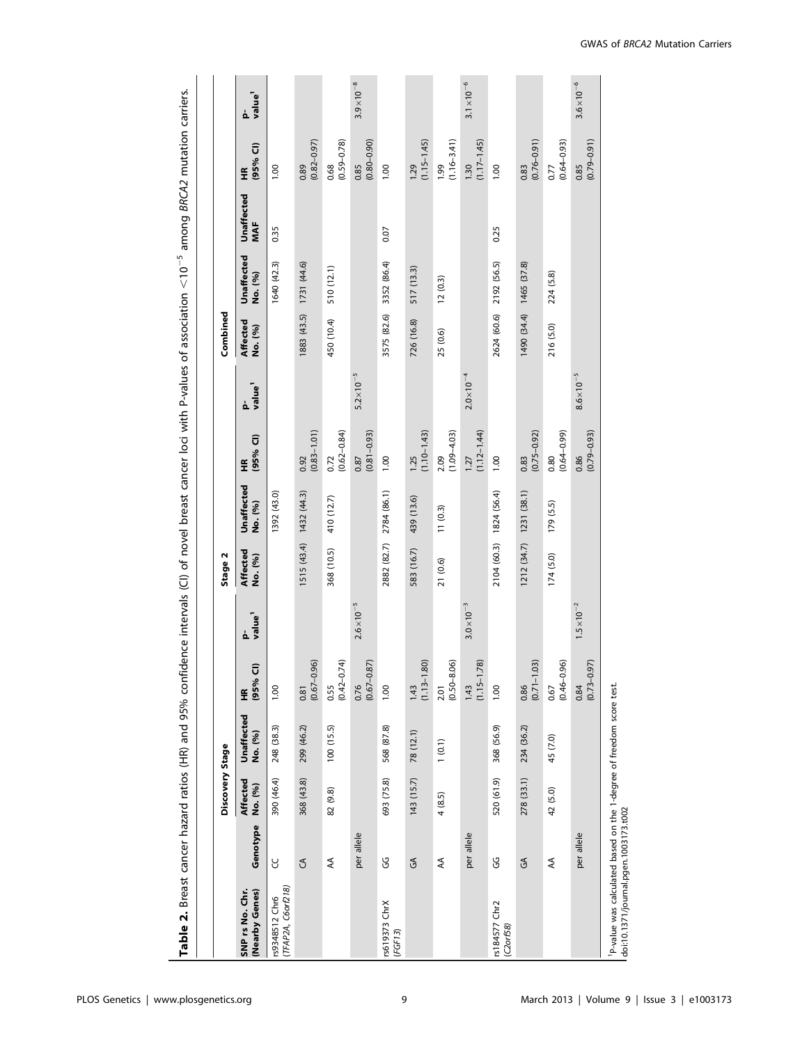|                                      |                           | Discovery Stage     |                       |                                        |                         | Stage 2             |                       |                                  |                          | Combined                |                       |                   |                                        |                          |
|--------------------------------------|---------------------------|---------------------|-----------------------|----------------------------------------|-------------------------|---------------------|-----------------------|----------------------------------|--------------------------|-------------------------|-----------------------|-------------------|----------------------------------------|--------------------------|
| SNP rs No. Chr.<br>(Nearby Genes)    | Genotype                  | Affected<br>No. (%) | Unaffected<br>No. (%) | $(95%$ Cl)<br>$\widetilde{\mathbf{H}}$ | value <sup>1</sup><br>ά | Affected<br>No. (%) | Unaffected<br>No. (%) | (95% CI)<br>$\frac{\alpha}{\pi}$ | p-<br>value <sup>1</sup> | Affected<br>No. (%)     | Unaffected<br>No. (%) | Unaffected<br>MAF | $(95%$ CI)<br>$\widetilde{\mathbf{H}}$ | p-<br>value <sup>1</sup> |
| (TFAP2A, C6orf218)<br>rs9348512 Chr6 | Y                         | 390 (46.4)          | 248 (38.3)            | 1.00                                   |                         |                     | 1392 (43.0)           |                                  |                          |                         | 1640 (42.3)           | 0.35              | 1.00                                   |                          |
|                                      | $\mathfrak S$             | 368 (43.8)          | 299 (46.2)            | $(0.67 - 0.96)$<br>0.81                |                         | 1515 (43.4)         | 1432 (44.3)           | $(0.83 - 1.01)$<br>0.92          |                          | 1883 (43.5)             | 1731 (44.6)           |                   | $(0.82 - 0.97)$<br>0.89                |                          |
|                                      | $\overline{A}$            | 82 (9.8)            | 100 (15.5)            | $(0.42 - 0.74)$<br>0.55                |                         | 368 (10.5)          | 410 (12.7)            | $(0.62 - 0.84)$<br>0.72          |                          | 450 (10.4)              | 510 (12.1)            |                   | $(0.59 - 0.78)$<br>0.68                |                          |
|                                      | per allele                |                     |                       | $(0.67 - 0.87)$<br>0.76                | $2.6 \times 10^{-5}$    |                     |                       | $(0.81 - 0.93)$<br>0.87          | $5.2 \times 10^{-5}$     |                         |                       |                   | $\frac{0.85}{(0.80 - 0.90)}$           | $3.9 \times 10^{-8}$     |
| rs619373 ChrX<br>(FGF13)             | 9G                        | 693 (75.8)          | 568 (87.8)            | 1.00                                   |                         | 2882 (82.7)         | 2784 (86.1)           | 1,00                             |                          | 3575 (82.6)             | 3352 (86.4)           | 0.07              | 1.00                                   |                          |
|                                      | $\mathfrak{S}$            | 143(15.7)           | 78 (12.1)             | $(1.13 - 1.80)$<br>1.43                |                         | 583 (16.7)          | 439 (13.6)            | $(1.10 - 1.43)$<br>1.25          |                          | 726 (16.8)              | 517 (13.3)            |                   | $(1.15 - 1.45)$<br>1.29                |                          |
|                                      | $\mathbb{A}^{\mathsf{A}}$ | 4(8.5)              | 1(0.1)                | $(0.50 - 8.06)$<br>2.01                |                         | 21 (0.6)            | 11(0.3)               | $(1.09 - 4.03)$<br>2.09          |                          | 25 (0.6)                | 12(0.3)               |                   | $(1.16 - 3.41)$<br>1.99                |                          |
|                                      | per allele                |                     |                       | $(1.15 - 1.78)$<br>1.43                | $3.0 \times 10^{-3}$    |                     |                       | $(1.12 - 1.44)$<br>1.27          | $2.0\times10^{-4}$       |                         |                       |                   | $(1.17 - 1.45)$<br>1.30                | $3.1 \times 10^{-6}$     |
| rs184577 Chr2<br>(C2or58)            | 9G                        | 520 (61.9)          | 368 (56.9)            | 1.00                                   |                         | 2104 (60.3)         | 1824 (56.4)           | 1.00                             |                          | 2624 (60.6) 2192 (56.5) |                       | 0.25              | 1.00                                   |                          |
|                                      | $\mathfrak{S}$            | 278 (33.1)          | 234 (36.2)            | $(0.71 - 1.03)$<br>0.86                |                         | 1212 (34.7)         | 1231 (38.1)           | $\frac{0.83}{(0.75-0.92)}$       |                          | 1490 (34.4) 1465 (37.8) |                       |                   | $(0.76 - 0.91)$<br>0.83                |                          |
|                                      | $\mathsf{A}\mathsf{A}$    | 42 (5.0)            | 45 (7.0)              | $(0.46 - 0.96)$<br>0.67                |                         | 174(5.0)            | 179(5.5)              | $(0.64 - 0.99)$<br>0.80          |                          | 216 (5.0)               | 224 (5.8)             |                   | $(0.64 - 0.93)$<br>0.77                |                          |
|                                      | per allele                |                     |                       | $(0.73 - 0.97)$<br>0.84                | $1.5 \times 10^{-2}$    |                     |                       | $(0.79 - 0.93)$<br>0.86          | $8.6 \times 10^{-5}$     |                         |                       |                   | $(0.79 - 0.91)$<br>0.85                | $3.6 \times 10^{-6}$     |

**Table 2.** Breast cancer hazard ratios (HR) and 95% confidence intervals (CI) of novel breast cancer loci with P-values of association  $\lt 10^{-5}$  among BRCA2 mutation carriers.  $<$ 10<sup>-5</sup> among BRCA2 mutation carriers. Table 2. Breast cancer hazard ratios (HR) and 95% confidence intervals (CI) of novel breast cancer loci with P-values of association GWAS of BRCA2 Mutation Carriers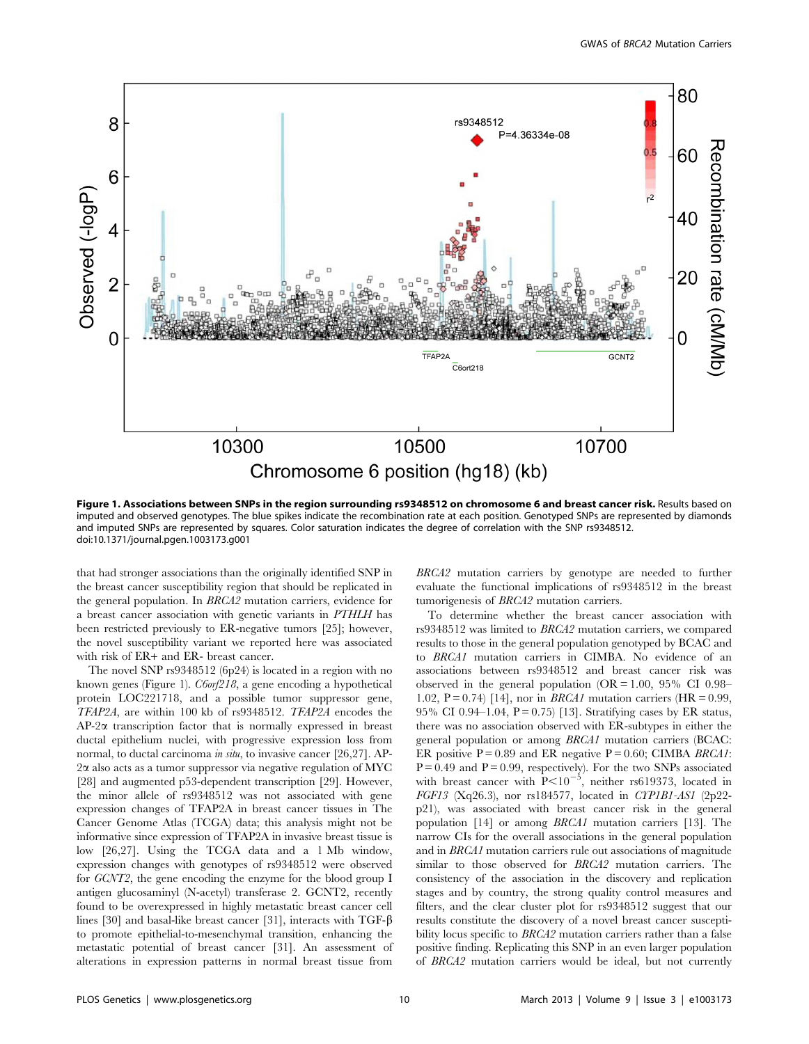

Figure 1. Associations between SNPs in the region surrounding rs9348512 on chromosome 6 and breast cancer risk. Results based on imputed and observed genotypes. The blue spikes indicate the recombination rate at each position. Genotyped SNPs are represented by diamonds and imputed SNPs are represented by squares. Color saturation indicates the degree of correlation with the SNP rs9348512. doi:10.1371/journal.pgen.1003173.g001

that had stronger associations than the originally identified SNP in the breast cancer susceptibility region that should be replicated in the general population. In BRCA2 mutation carriers, evidence for a breast cancer association with genetic variants in PTHLH has been restricted previously to ER-negative tumors [25]; however, the novel susceptibility variant we reported here was associated with risk of ER+ and ER- breast cancer.

The novel SNP rs9348512 (6p24) is located in a region with no known genes (Figure 1). C6orf218, a gene encoding a hypothetical protein LOC221718, and a possible tumor suppressor gene, TFAP2A, are within 100 kb of rs9348512. TFAP2A encodes the  $AP-2\alpha$  transcription factor that is normally expressed in breast ductal epithelium nuclei, with progressive expression loss from normal, to ductal carcinoma *in situ*, to invasive cancer [26,27]. AP- $2\alpha$  also acts as a tumor suppressor via negative regulation of MYC [28] and augmented p53-dependent transcription [29]. However, the minor allele of rs9348512 was not associated with gene expression changes of TFAP2A in breast cancer tissues in The Cancer Genome Atlas (TCGA) data; this analysis might not be informative since expression of TFAP2A in invasive breast tissue is low [26,27]. Using the TCGA data and a 1 Mb window, expression changes with genotypes of rs9348512 were observed for GCNT2, the gene encoding the enzyme for the blood group I antigen glucosaminyl (N-acetyl) transferase 2. GCNT2, recently found to be overexpressed in highly metastatic breast cancer cell lines [30] and basal-like breast cancer [31], interacts with TGF- $\beta$ to promote epithelial-to-mesenchymal transition, enhancing the metastatic potential of breast cancer [31]. An assessment of alterations in expression patterns in normal breast tissue from

BRCA2 mutation carriers by genotype are needed to further evaluate the functional implications of rs9348512 in the breast tumorigenesis of BRCA2 mutation carriers.

To determine whether the breast cancer association with rs9348512 was limited to BRCA2 mutation carriers, we compared results to those in the general population genotyped by BCAC and to BRCA1 mutation carriers in CIMBA. No evidence of an associations between rs9348512 and breast cancer risk was observed in the general population ( $OR = 1.00$ , 95% CI 0.98– 1.02,  $P = 0.74$  [14], nor in *BRCA1* mutation carriers (HR = 0.99, 95% CI 0.94–1.04,  $P = 0.75$  [13]. Stratifying cases by ER status, there was no association observed with ER-subtypes in either the general population or among BRCA1 mutation carriers (BCAC: ER positive  $P = 0.89$  and ER negative  $P = 0.60$ ; CIMBA *BRCA1*:  $P = 0.49$  and  $P = 0.99$ , respectively). For the two SNPs associated with breast cancer with  $P<10^{-5}$ , neither rs619373, located in FGF13 (Xq26.3), nor rs184577, located in CYP1B1-AS1 (2p22 p21), was associated with breast cancer risk in the general population [14] or among BRCA1 mutation carriers [13]. The narrow CIs for the overall associations in the general population and in BRCA1 mutation carriers rule out associations of magnitude similar to those observed for BRCA2 mutation carriers. The consistency of the association in the discovery and replication stages and by country, the strong quality control measures and filters, and the clear cluster plot for rs9348512 suggest that our results constitute the discovery of a novel breast cancer susceptibility locus specific to BRCA2 mutation carriers rather than a false positive finding. Replicating this SNP in an even larger population of BRCA2 mutation carriers would be ideal, but not currently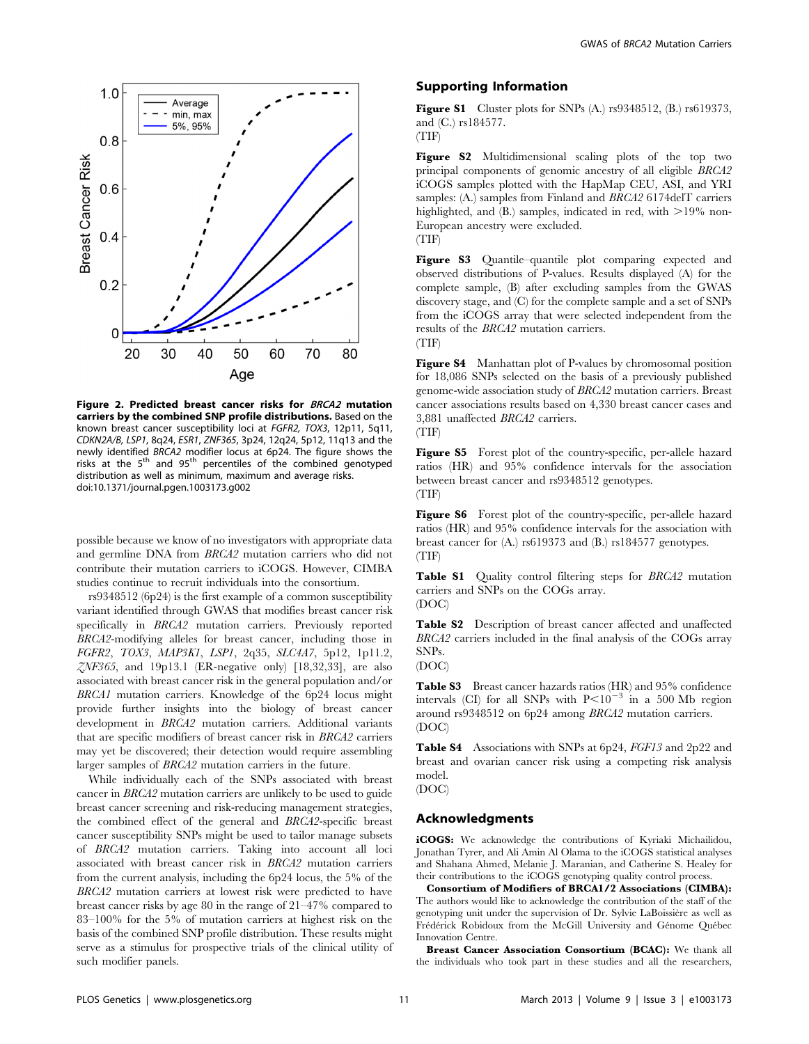

Figure 2. Predicted breast cancer risks for BRCA2 mutation carriers by the combined SNP profile distributions. Based on the known breast cancer susceptibility loci at FGFR2, TOX3, 12p11, 5q11, CDKN2A/B, LSP1, 8q24, ESR1, ZNF365, 3p24, 12q24, 5p12, 11q13 and the newly identified BRCA2 modifier locus at 6p24. The figure shows the risks at the 5<sup>th</sup> and 95<sup>th</sup> percentiles of the combined genotyped distribution as well as minimum, maximum and average risks. doi:10.1371/journal.pgen.1003173.g002

possible because we know of no investigators with appropriate data and germline DNA from BRCA2 mutation carriers who did not contribute their mutation carriers to iCOGS. However, CIMBA studies continue to recruit individuals into the consortium.

rs9348512 (6p24) is the first example of a common susceptibility variant identified through GWAS that modifies breast cancer risk specifically in BRCA2 mutation carriers. Previously reported BRCA2-modifying alleles for breast cancer, including those in FGFR2, TOX3, MAP3K1, LSP1, 2q35, SLC4A7, 5p12, 1p11.2, ZNF365, and 19p13.1 (ER-negative only) [18,32,33], are also associated with breast cancer risk in the general population and/or BRCA1 mutation carriers. Knowledge of the 6p24 locus might provide further insights into the biology of breast cancer development in BRCA2 mutation carriers. Additional variants that are specific modifiers of breast cancer risk in BRCA2 carriers may yet be discovered; their detection would require assembling larger samples of BRCA2 mutation carriers in the future.

While individually each of the SNPs associated with breast cancer in BRCA2 mutation carriers are unlikely to be used to guide breast cancer screening and risk-reducing management strategies, the combined effect of the general and BRCA2-specific breast cancer susceptibility SNPs might be used to tailor manage subsets of BRCA2 mutation carriers. Taking into account all loci associated with breast cancer risk in BRCA2 mutation carriers from the current analysis, including the 6p24 locus, the 5% of the BRCA2 mutation carriers at lowest risk were predicted to have breast cancer risks by age 80 in the range of 21–47% compared to 83–100% for the 5% of mutation carriers at highest risk on the basis of the combined SNP profile distribution. These results might serve as a stimulus for prospective trials of the clinical utility of such modifier panels.

## Supporting Information

Figure S1 Cluster plots for SNPs (A.) rs9348512, (B.) rs619373, and (C.) rs184577.

(TIF)

Figure S2 Multidimensional scaling plots of the top two principal components of genomic ancestry of all eligible BRCA2 iCOGS samples plotted with the HapMap CEU, ASI, and YRI samples: (A.) samples from Finland and BRCA2 6174delT carriers highlighted, and  $(B)$  samples, indicated in red, with  $>19\%$  non-European ancestry were excluded. (TIF)

Figure S3 Quantile-quantile plot comparing expected and observed distributions of P-values. Results displayed (A) for the complete sample, (B) after excluding samples from the GWAS discovery stage, and (C) for the complete sample and a set of SNPs from the iCOGS array that were selected independent from the results of the BRCA2 mutation carriers. (TIF)

Figure S4 Manhattan plot of P-values by chromosomal position for 18,086 SNPs selected on the basis of a previously published genome-wide association study of BRCA2 mutation carriers. Breast cancer associations results based on 4,330 breast cancer cases and 3,881 unaffected BRCA2 carriers. (TIF)

Figure S5 Forest plot of the country-specific, per-allele hazard ratios (HR) and 95% confidence intervals for the association between breast cancer and rs9348512 genotypes. (TIF)

Figure S6 Forest plot of the country-specific, per-allele hazard ratios (HR) and 95% confidence intervals for the association with breast cancer for (A.) rs619373 and (B.) rs184577 genotypes. (TIF)

Table S1 Quality control filtering steps for BRCA2 mutation carriers and SNPs on the COGs array. (DOC)

Table S2 Description of breast cancer affected and unaffected BRCA2 carriers included in the final analysis of the COGs array SNPs.

(DOC)

Table S3 Breast cancer hazards ratios (HR) and 95% confidence intervals (CI) for all SNPs with  $P<10^{-3}$  in a 500 Mb region around rs9348512 on 6p24 among BRCA2 mutation carriers. (DOC)

Table S4 Associations with SNPs at 6p24, FGF13 and 2p22 and breast and ovarian cancer risk using a competing risk analysis model.

(DOC)

## Acknowledgments

iCOGS: We acknowledge the contributions of Kyriaki Michailidou, Jonathan Tyrer, and Ali Amin Al Olama to the iCOGS statistical analyses and Shahana Ahmed, Melanie J. Maranian, and Catherine S. Healey for their contributions to the iCOGS genotyping quality control process.

Consortium of Modifiers of BRCA1/2 Associations (CIMBA): The authors would like to acknowledge the contribution of the staff of the genotyping unit under the supervision of Dr. Sylvie LaBoissière as well as Frédérick Robidoux from the McGill University and Génome Québec Innovation Centre.

Breast Cancer Association Consortium (BCAC): We thank all the individuals who took part in these studies and all the researchers,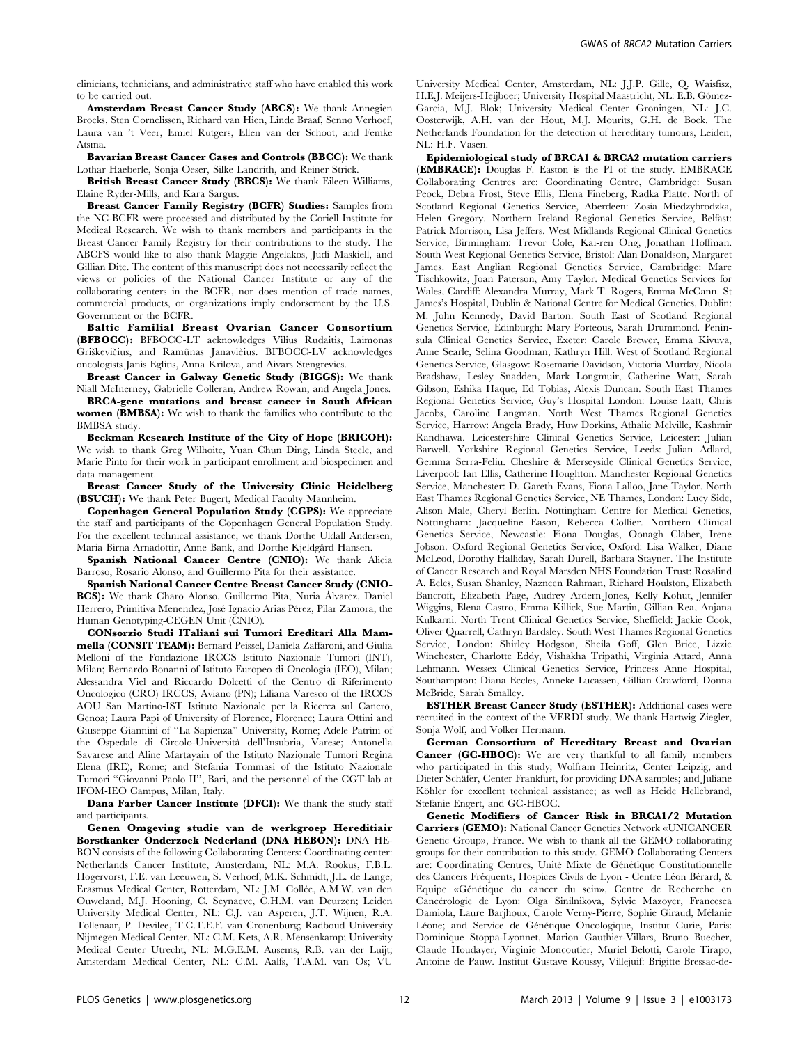clinicians, technicians, and administrative staff who have enabled this work to be carried out.

Amsterdam Breast Cancer Study (ABCS): We thank Annegien Broeks, Sten Cornelissen, Richard van Hien, Linde Braaf, Senno Verhoef, Laura van 't Veer, Emiel Rutgers, Ellen van der Schoot, and Femke Atsma.

Bavarian Breast Cancer Cases and Controls (BBCC): We thank Lothar Haeberle, Sonja Oeser, Silke Landrith, and Reiner Strick.

British Breast Cancer Study (BBCS): We thank Eileen Williams, Elaine Ryder-Mills, and Kara Sargus.

Breast Cancer Family Registry (BCFR) Studies: Samples from the NC-BCFR were processed and distributed by the Coriell Institute for Medical Research. We wish to thank members and participants in the Breast Cancer Family Registry for their contributions to the study. The ABCFS would like to also thank Maggie Angelakos, Judi Maskiell, and Gillian Dite. The content of this manuscript does not necessarily reflect the views or policies of the National Cancer Institute or any of the collaborating centers in the BCFR, nor does mention of trade names, commercial products, or organizations imply endorsement by the U.S. Government or the BCFR.

Baltic Familial Breast Ovarian Cancer Consortium (BFBOCC): BFBOCC-LT acknowledges Vilius Rudaitis, Laimonas Griškevičius, and Ramûnas Janavièius. BFBOCC-LV acknowledges oncologists Janis Eglitis, Anna Krilova, and Aivars Stengrevics.

Breast Cancer in Galway Genetic Study (BIGGS): We thank Niall McInerney, Gabrielle Colleran, Andrew Rowan, and Angela Jones.

BRCA-gene mutations and breast cancer in South African women (BMBSA): We wish to thank the families who contribute to the BMBSA study.

Beckman Research Institute of the City of Hope (BRICOH): We wish to thank Greg Wilhoite, Yuan Chun Ding, Linda Steele, and Marie Pinto for their work in participant enrollment and biospecimen and data management.

Breast Cancer Study of the University Clinic Heidelberg (BSUCH): We thank Peter Bugert, Medical Faculty Mannheim.

Copenhagen General Population Study (CGPS): We appreciate the staff and participants of the Copenhagen General Population Study. For the excellent technical assistance, we thank Dorthe Uldall Andersen, Maria Birna Arnadottir, Anne Bank, and Dorthe Kjeldgård Hansen.

Spanish National Cancer Centre (CNIO): We thank Alicia Barroso, Rosario Alonso, and Guillermo Pita for their assistance.

Spanish National Cancer Centre Breast Cancer Study (CNIO-BCS): We thank Charo Alonso, Guillermo Pita, Nuria Álvarez, Daniel Herrero, Primitiva Menendez, José Ignacio Arias Pérez, Pilar Zamora, the Human Genotyping-CEGEN Unit (CNIO).

CONsorzio Studi ITaliani sui Tumori Ereditari Alla Mammella (CONSIT TEAM): Bernard Peissel, Daniela Zaffaroni, and Giulia Melloni of the Fondazione IRCCS Istituto Nazionale Tumori (INT), Milan; Bernardo Bonanni of Istituto Europeo di Oncologia (IEO), Milan; Alessandra Viel and Riccardo Dolcetti of the Centro di Riferimento Oncologico (CRO) IRCCS, Aviano (PN); Liliana Varesco of the IRCCS AOU San Martino-IST Istituto Nazionale per la Ricerca sul Cancro, Genoa; Laura Papi of University of Florence, Florence; Laura Ottini and Giuseppe Giannini of ''La Sapienza'' University, Rome; Adele Patrini of the Ospedale di Circolo-Universita` dell'Insubria, Varese; Antonella Savarese and Aline Martayain of the Istituto Nazionale Tumori Regina Elena (IRE), Rome; and Stefania Tommasi of the Istituto Nazionale Tumori ''Giovanni Paolo II'', Bari, and the personnel of the CGT-lab at IFOM-IEO Campus, Milan, Italy.

Dana Farber Cancer Institute (DFCI): We thank the study staff and participants.

Genen Omgeving studie van de werkgroep Hereditiair Borstkanker Onderzoek Nederland (DNA HEBON): DNA HE-BON consists of the following Collaborating Centers: Coordinating center: Netherlands Cancer Institute, Amsterdam, NL: M.A. Rookus, F.B.L. Hogervorst, F.E. van Leeuwen, S. Verhoef, M.K. Schmidt, J.L. de Lange; Erasmus Medical Center, Rotterdam, NL: J.M. Collée, A.M.W. van den Ouweland, M.J. Hooning, C. Seynaeve, C.H.M. van Deurzen; Leiden University Medical Center, NL: C.J. van Asperen, J.T. Wijnen, R.A. Tollenaar, P. Devilee, T.C.T.E.F. van Cronenburg; Radboud University Nijmegen Medical Center, NL: C.M. Kets, A.R. Mensenkamp; University Medical Center Utrecht, NL: M.G.E.M. Ausems, R.B. van der Luijt; Amsterdam Medical Center, NL: C.M. Aalfs, T.A.M. van Os; VU

University Medical Center, Amsterdam, NL: J.J.P. Gille, Q. Waisfisz, H.E.J. Meijers-Heijboer; University Hospital Maastricht, NL: E.B. Gómez-Garcia, M.J. Blok; University Medical Center Groningen, NL: J.C. Oosterwijk, A.H. van der Hout, M.J. Mourits, G.H. de Bock. The Netherlands Foundation for the detection of hereditary tumours, Leiden, NL: H.F. Vasen.

Epidemiological study of BRCA1 & BRCA2 mutation carriers (EMBRACE): Douglas F. Easton is the PI of the study. EMBRACE Collaborating Centres are: Coordinating Centre, Cambridge: Susan Peock, Debra Frost, Steve Ellis, Elena Fineberg, Radka Platte. North of Scotland Regional Genetics Service, Aberdeen: Zosia Miedzybrodzka, Helen Gregory. Northern Ireland Regional Genetics Service, Belfast: Patrick Morrison, Lisa Jeffers. West Midlands Regional Clinical Genetics Service, Birmingham: Trevor Cole, Kai-ren Ong, Jonathan Hoffman. South West Regional Genetics Service, Bristol: Alan Donaldson, Margaret James. East Anglian Regional Genetics Service, Cambridge: Marc Tischkowitz, Joan Paterson, Amy Taylor. Medical Genetics Services for Wales, Cardiff: Alexandra Murray, Mark T. Rogers, Emma McCann. St James's Hospital, Dublin & National Centre for Medical Genetics, Dublin: M. John Kennedy, David Barton. South East of Scotland Regional Genetics Service, Edinburgh: Mary Porteous, Sarah Drummond. Peninsula Clinical Genetics Service, Exeter: Carole Brewer, Emma Kivuva, Anne Searle, Selina Goodman, Kathryn Hill. West of Scotland Regional Genetics Service, Glasgow: Rosemarie Davidson, Victoria Murday, Nicola Bradshaw, Lesley Snadden, Mark Longmuir, Catherine Watt, Sarah Gibson, Eshika Haque, Ed Tobias, Alexis Duncan. South East Thames Regional Genetics Service, Guy's Hospital London: Louise Izatt, Chris Jacobs, Caroline Langman. North West Thames Regional Genetics Service, Harrow: Angela Brady, Huw Dorkins, Athalie Melville, Kashmir Randhawa. Leicestershire Clinical Genetics Service, Leicester: Julian Barwell. Yorkshire Regional Genetics Service, Leeds: Julian Adlard, Gemma Serra-Feliu. Cheshire & Merseyside Clinical Genetics Service, Liverpool: Ian Ellis, Catherine Houghton. Manchester Regional Genetics Service, Manchester: D. Gareth Evans, Fiona Lalloo, Jane Taylor. North East Thames Regional Genetics Service, NE Thames, London: Lucy Side, Alison Male, Cheryl Berlin. Nottingham Centre for Medical Genetics, Nottingham: Jacqueline Eason, Rebecca Collier. Northern Clinical Genetics Service, Newcastle: Fiona Douglas, Oonagh Claber, Irene Jobson. Oxford Regional Genetics Service, Oxford: Lisa Walker, Diane McLeod, Dorothy Halliday, Sarah Durell, Barbara Stayner. The Institute of Cancer Research and Royal Marsden NHS Foundation Trust: Rosalind A. Eeles, Susan Shanley, Nazneen Rahman, Richard Houlston, Elizabeth Bancroft, Elizabeth Page, Audrey Ardern-Jones, Kelly Kohut, Jennifer Wiggins, Elena Castro, Emma Killick, Sue Martin, Gillian Rea, Anjana Kulkarni. North Trent Clinical Genetics Service, Sheffield: Jackie Cook, Oliver Quarrell, Cathryn Bardsley. South West Thames Regional Genetics Service, London: Shirley Hodgson, Sheila Goff, Glen Brice, Lizzie Winchester, Charlotte Eddy, Vishakha Tripathi, Virginia Attard, Anna Lehmann. Wessex Clinical Genetics Service, Princess Anne Hospital, Southampton: Diana Eccles, Anneke Lucassen, Gillian Crawford, Donna McBride, Sarah Smalley.

ESTHER Breast Cancer Study (ESTHER): Additional cases were recruited in the context of the VERDI study. We thank Hartwig Ziegler, Sonja Wolf, and Volker Hermann.

German Consortium of Hereditary Breast and Ovarian Cancer (GC-HBOC): We are very thankful to all family members who participated in this study; Wolfram Heinritz, Center Leipzig, and Dieter Schäfer, Center Frankfurt, for providing DNA samples; and Juliane Köhler for excellent technical assistance; as well as Heide Hellebrand, Stefanie Engert, and GC-HBOC.

Genetic Modifiers of Cancer Risk in BRCA1/2 Mutation Carriers (GEMO): National Cancer Genetics Network «UNICANCER Genetic Group», France. We wish to thank all the GEMO collaborating groups for their contribution to this study. GEMO Collaborating Centers are: Coordinating Centres, Unité Mixte de Génétique Constitutionnelle des Cancers Fréquents, Hospices Civils de Lyon - Centre Léon Bérard, & Equipe «Génétique du cancer du sein», Centre de Recherche en Cancérologie de Lyon: Olga Sinilnikova, Sylvie Mazoyer, Francesca Damiola, Laure Barjhoux, Carole Verny-Pierre, Sophie Giraud, Mélanie Léone; and Service de Génétique Oncologique, Institut Curie, Paris: Dominique Stoppa-Lyonnet, Marion Gauthier-Villars, Bruno Buecher, Claude Houdayer, Virginie Moncoutier, Muriel Belotti, Carole Tirapo, Antoine de Pauw. Institut Gustave Roussy, Villejuif: Brigitte Bressac-de-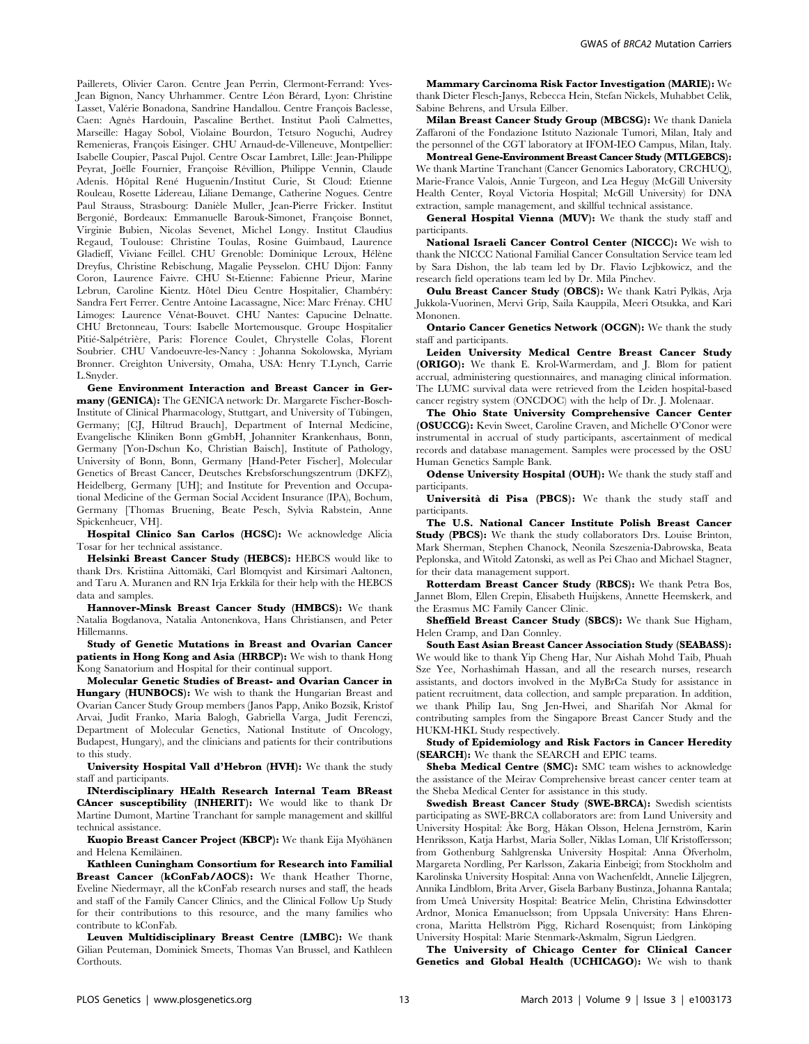Paillerets, Olivier Caron. Centre Jean Perrin, Clermont-Ferrand: Yves-Jean Bignon, Nancy Uhrhammer. Centre Léon Bérard, Lyon: Christine Lasset, Valérie Bonadona, Sandrine Handallou. Centre François Baclesse, Caen: Agnès Hardouin, Pascaline Berthet. Institut Paoli Calmettes, Marseille: Hagay Sobol, Violaine Bourdon, Tetsuro Noguchi, Audrey Remenieras, François Eisinger. CHU Arnaud-de-Villeneuve, Montpellier: Isabelle Coupier, Pascal Pujol. Centre Oscar Lambret, Lille: Jean-Philippe Peyrat, Joëlle Fournier, Françoise Révillion, Philippe Vennin, Claude Adenis. Hôpital René Huguenin/Institut Curie, St Cloud: Etienne Rouleau, Rosette Lidereau, Liliane Demange, Catherine Nogues. Centre Paul Strauss, Strasbourg: Danièle Muller, Jean-Pierre Fricker. Institut Bergonié, Bordeaux: Emmanuelle Barouk-Simonet, Françoise Bonnet, Virginie Bubien, Nicolas Sevenet, Michel Longy. Institut Claudius Regaud, Toulouse: Christine Toulas, Rosine Guimbaud, Laurence Gladieff, Viviane Feillel. CHU Grenoble: Dominique Leroux, Hélène Dreyfus, Christine Rebischung, Magalie Peysselon. CHU Dijon: Fanny Coron, Laurence Faivre. CHU St-Etienne: Fabienne Prieur, Marine Lebrun, Caroline Kientz. Hôtel Dieu Centre Hospitalier, Chambéry: Sandra Fert Ferrer. Centre Antoine Lacassagne, Nice: Marc Frénay. CHU Limoges: Laurence Vénat-Bouvet. CHU Nantes: Capucine Delnatte. CHU Bretonneau, Tours: Isabelle Mortemousque. Groupe Hospitalier Pitié-Salpétrière, Paris: Florence Coulet, Chrystelle Colas, Florent Soubrier. CHU Vandoeuvre-les-Nancy : Johanna Sokolowska, Myriam Bronner. Creighton University, Omaha, USA: Henry T.Lynch, Carrie L.Snyder.

Gene Environment Interaction and Breast Cancer in Germany (GENICA): The GENICA network: Dr. Margarete Fischer-Bosch-Institute of Clinical Pharmacology, Stuttgart, and University of Tübingen, Germany; [CJ, Hiltrud Brauch], Department of Internal Medicine, Evangelische Kliniken Bonn gGmbH, Johanniter Krankenhaus, Bonn, Germany [Yon-Dschun Ko, Christian Baisch], Institute of Pathology, University of Bonn, Bonn, Germany [Hand-Peter Fischer], Molecular Genetics of Breast Cancer, Deutsches Krebsforschungszentrum (DKFZ), Heidelberg, Germany [UH]; and Institute for Prevention and Occupational Medicine of the German Social Accident Insurance (IPA), Bochum, Germany [Thomas Bruening, Beate Pesch, Sylvia Rabstein, Anne Spickenheuer, VH].

Hospital Clinico San Carlos (HCSC): We acknowledge Alicia Tosar for her technical assistance.

Helsinki Breast Cancer Study (HEBCS): HEBCS would like to thank Drs. Kristiina Aittomäki, Carl Blomqvist and Kirsimari Aaltonen, and Taru A. Muranen and RN Irja Erkkilä for their help with the HEBCS data and samples.

Hannover-Minsk Breast Cancer Study (HMBCS): We thank Natalia Bogdanova, Natalia Antonenkova, Hans Christiansen, and Peter Hillemanns.

Study of Genetic Mutations in Breast and Ovarian Cancer patients in Hong Kong and Asia (HRBCP): We wish to thank Hong Kong Sanatorium and Hospital for their continual support.

Molecular Genetic Studies of Breast- and Ovarian Cancer in Hungary (HUNBOCS): We wish to thank the Hungarian Breast and Ovarian Cancer Study Group members (Janos Papp, Aniko Bozsik, Kristof Arvai, Judit Franko, Maria Balogh, Gabriella Varga, Judit Ferenczi, Department of Molecular Genetics, National Institute of Oncology, Budapest, Hungary), and the clinicians and patients for their contributions to this study.

University Hospital Vall d'Hebron (HVH): We thank the study staff and participants.

INterdisciplinary HEalth Research Internal Team BReast CAncer susceptibility (INHERIT): We would like to thank Dr Martine Dumont, Martine Tranchant for sample management and skillful technical assistance.

Kuopio Breast Cancer Project (KBCP): We thank Eija Myöhänen and Helena Kemiläinen.

Kathleen Cuningham Consortium for Research into Familial Breast Cancer (kConFab/AOCS): We thank Heather Thorne, Eveline Niedermayr, all the kConFab research nurses and staff, the heads and staff of the Family Cancer Clinics, and the Clinical Follow Up Study for their contributions to this resource, and the many families who contribute to kConFab.

Leuven Multidisciplinary Breast Centre (LMBC): We thank Gilian Peuteman, Dominiek Smeets, Thomas Van Brussel, and Kathleen Corthouts.

Mammary Carcinoma Risk Factor Investigation (MARIE): We thank Dieter Flesch-Janys, Rebecca Hein, Stefan Nickels, Muhabbet Celik, Sabine Behrens, and Ursula Eilber.

Milan Breast Cancer Study Group (MBCSG): We thank Daniela Zaffaroni of the Fondazione Istituto Nazionale Tumori, Milan, Italy and the personnel of the CGT laboratory at IFOM-IEO Campus, Milan, Italy.

Montreal Gene-Environment Breast Cancer Study (MTLGEBCS): We thank Martine Tranchant (Cancer Genomics Laboratory, CRCHUQ), Marie-France Valois, Annie Turgeon, and Lea Heguy (McGill University Health Center, Royal Victoria Hospital; McGill University) for DNA extraction, sample management, and skillful technical assistance.

General Hospital Vienna (MUV): We thank the study staff and participants.

National Israeli Cancer Control Center (NICCC): We wish to thank the NICCC National Familial Cancer Consultation Service team led by Sara Dishon, the lab team led by Dr. Flavio Lejbkowicz, and the research field operations team led by Dr. Mila Pinchev.

Oulu Breast Cancer Study (OBCS): We thank Katri Pylkäs, Arja Jukkola-Vuorinen, Mervi Grip, Saila Kauppila, Meeri Otsukka, and Kari Mononen.

Ontario Cancer Genetics Network (OCGN): We thank the study staff and participants.

Leiden University Medical Centre Breast Cancer Study (ORIGO): We thank E. Krol-Warmerdam, and J. Blom for patient accrual, administering questionnaires, and managing clinical information. The LUMC survival data were retrieved from the Leiden hospital-based cancer registry system (ONCDOC) with the help of Dr. J. Molenaar.

The Ohio State University Comprehensive Cancer Center (OSUCCG): Kevin Sweet, Caroline Craven, and Michelle O'Conor were instrumental in accrual of study participants, ascertainment of medical records and database management. Samples were processed by the OSU Human Genetics Sample Bank.

Odense University Hospital (OUH): We thank the study staff and participants.

Università di Pisa (PBCS): We thank the study staff and participants.

The U.S. National Cancer Institute Polish Breast Cancer Study (PBCS): We thank the study collaborators Drs. Louise Brinton, Mark Sherman, Stephen Chanock, Neonila Szeszenia-Dabrowska, Beata Peplonska, and Witold Zatonski, as well as Pei Chao and Michael Stagner, for their data management support.

Rotterdam Breast Cancer Study (RBCS): We thank Petra Bos, Jannet Blom, Ellen Crepin, Elisabeth Huijskens, Annette Heemskerk, and the Erasmus MC Family Cancer Clinic.

Sheffield Breast Cancer Study (SBCS): We thank Sue Higham, Helen Cramp, and Dan Connley.

South East Asian Breast Cancer Association Study (SEABASS): We would like to thank Yip Cheng Har, Nur Aishah Mohd Taib, Phuah Sze Yee, Norhashimah Hassan, and all the research nurses, research assistants, and doctors involved in the MyBrCa Study for assistance in patient recruitment, data collection, and sample preparation. In addition, we thank Philip Iau, Sng Jen-Hwei, and Sharifah Nor Akmal for contributing samples from the Singapore Breast Cancer Study and the HUKM-HKL Study respectively.

Study of Epidemiology and Risk Factors in Cancer Heredity (SEARCH): We thank the SEARCH and EPIC teams.

Sheba Medical Centre (SMC): SMC team wishes to acknowledge the assistance of the Meirav Comprehensive breast cancer center team at the Sheba Medical Center for assistance in this study.

Swedish Breast Cancer Study (SWE-BRCA): Swedish scientists participating as SWE-BRCA collaborators are: from Lund University and University Hospital: Åke Borg, Håkan Olsson, Helena Jernström, Karin Henriksson, Katja Harbst, Maria Soller, Niklas Loman, Ulf Kristoffersson; from Gothenburg Sahlgrenska University Hospital: Anna Öfverholm, Margareta Nordling, Per Karlsson, Zakaria Einbeigi; from Stockholm and Karolinska University Hospital: Anna von Wachenfeldt, Annelie Liljegren, Annika Lindblom, Brita Arver, Gisela Barbany Bustinza, Johanna Rantala; from Umeå University Hospital: Beatrice Melin, Christina Edwinsdotter Ardnor, Monica Emanuelsson; from Uppsala University: Hans Ehrencrona, Maritta Hellström Pigg, Richard Rosenquist; from Linköping University Hospital: Marie Stenmark-Askmalm, Sigrun Liedgren.

The University of Chicago Center for Clinical Cancer Genetics and Global Health (UCHICAGO): We wish to thank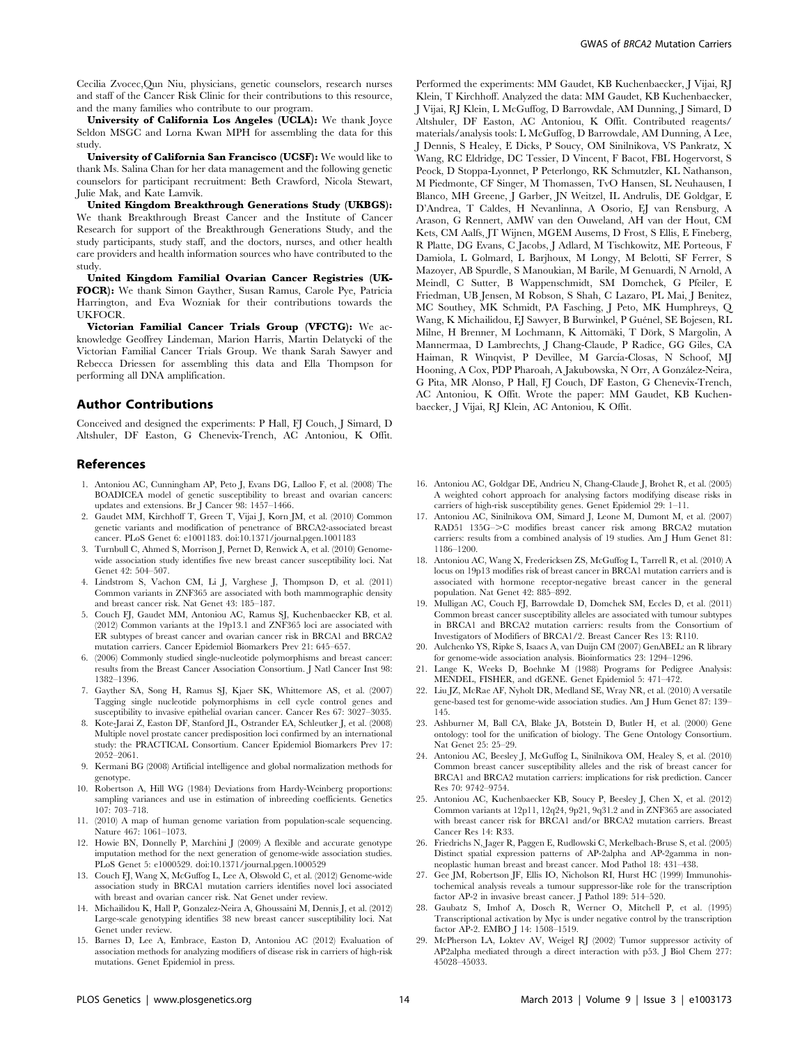Cecilia Zvocec,Qun Niu, physicians, genetic counselors, research nurses and staff of the Cancer Risk Clinic for their contributions to this resource, and the many families who contribute to our program.

University of California Los Angeles (UCLA): We thank Joyce Seldon MSGC and Lorna Kwan MPH for assembling the data for this study.

University of California San Francisco (UCSF): We would like to thank Ms. Salina Chan for her data management and the following genetic counselors for participant recruitment: Beth Crawford, Nicola Stewart, Julie Mak, and Kate Lamvik.

United Kingdom Breakthrough Generations Study (UKBGS): We thank Breakthrough Breast Cancer and the Institute of Cancer Research for support of the Breakthrough Generations Study, and the study participants, study staff, and the doctors, nurses, and other health care providers and health information sources who have contributed to the study.

United Kingdom Familial Ovarian Cancer Registries (UK-FOCR): We thank Simon Gayther, Susan Ramus, Carole Pye, Patricia Harrington, and Eva Wozniak for their contributions towards the UKFOCR.

Victorian Familial Cancer Trials Group (VFCTG): We acknowledge Geoffrey Lindeman, Marion Harris, Martin Delatycki of the Victorian Familial Cancer Trials Group. We thank Sarah Sawyer and Rebecca Driessen for assembling this data and Ella Thompson for performing all DNA amplification.

## Author Contributions

Conceived and designed the experiments: P Hall, FJ Couch, J Simard, D Altshuler, DF Easton, G Chenevix-Trench, AC Antoniou, K Offit.

#### References

- 1. Antoniou AC, Cunningham AP, Peto J, Evans DG, Lalloo F, et al. (2008) The BOADICEA model of genetic susceptibility to breast and ovarian cancers: updates and extensions. Br J Cancer 98: 1457–1466.
- 2. Gaudet MM, Kirchhoff T, Green T, Vijai J, Korn JM, et al. (2010) Common genetic variants and modification of penetrance of BRCA2-associated breast cancer. PLoS Genet 6: e1001183. doi:10.1371/journal.pgen.1001183
- 3. Turnbull C, Ahmed S, Morrison J, Pernet D, Renwick A, et al. (2010) Genomewide association study identifies five new breast cancer susceptibility loci. Nat Genet 42: 504–507.
- 4. Lindstrom S, Vachon CM, Li J, Varghese J, Thompson D, et al. (2011) Common variants in ZNF365 are associated with both mammographic density and breast cancer risk. Nat Genet 43: 185–187.
- 5. Couch FJ, Gaudet MM, Antoniou AC, Ramus SJ, Kuchenbaecker KB, et al. (2012) Common variants at the 19p13.1 and ZNF365 loci are associated with ER subtypes of breast cancer and ovarian cancer risk in BRCA1 and BRCA2 mutation carriers. Cancer Epidemiol Biomarkers Prev 21: 645–657.
- 6. (2006) Commonly studied single-nucleotide polymorphisms and breast cancer: results from the Breast Cancer Association Consortium. J Natl Cancer Inst 98: 1382–1396.
- 7. Gayther SA, Song H, Ramus SJ, Kjaer SK, Whittemore AS, et al. (2007) Tagging single nucleotide polymorphisms in cell cycle control genes and susceptibility to invasive epithelial ovarian cancer. Cancer Res 67: 3027–3035.
- 8. Kote-Jarai Z, Easton DF, Stanford JL, Ostrander EA, Schleutker J, et al. (2008) Multiple novel prostate cancer predisposition loci confirmed by an international study: the PRACTICAL Consortium. Cancer Epidemiol Biomarkers Prev 17: 2052–2061.
- 9. Kermani BG (2008) Artificial intelligence and global normalization methods for enotype
- 10. Robertson A, Hill WG (1984) Deviations from Hardy-Weinberg proportions: sampling variances and use in estimation of inbreeding coefficients. Genetics 107: 703–718.
- 11. (2010) A map of human genome variation from population-scale sequencing. Nature 467: 1061–1073.
- 12. Howie BN, Donnelly P, Marchini J (2009) A flexible and accurate genotype imputation method for the next generation of genome-wide association studies. PLoS Genet 5: e1000529. doi:10.1371/journal.pgen.1000529
- 13. Couch FJ, Wang X, McGuffog L, Lee A, Olswold C, et al. (2012) Genome-wide association study in BRCA1 mutation carriers identifies novel loci associated with breast and ovarian cancer risk. Nat Genet under review.
- 14. Michailidou K, Hall P, Gonzalez-Neira A, Ghoussaini M, Dennis J, et al. (2012) Large-scale genotyping identifies 38 new breast cancer susceptibility loci. Nat Genet under review.
- 15. Barnes D, Lee A, Embrace, Easton D, Antoniou AC (2012) Evaluation of association methods for analyzing modifiers of disease risk in carriers of high-risk mutations. Genet Epidemiol in press.

Performed the experiments: MM Gaudet, KB Kuchenbaecker, J Vijai, RJ Klein, T Kirchhoff. Analyzed the data: MM Gaudet, KB Kuchenbaecker, J Vijai, RJ Klein, L McGuffog, D Barrowdale, AM Dunning, J Simard, D Altshuler, DF Easton, AC Antoniou, K Offit. Contributed reagents/ materials/analysis tools: L McGuffog, D Barrowdale, AM Dunning, A Lee, J Dennis, S Healey, E Dicks, P Soucy, OM Sinilnikova, VS Pankratz, X Wang, RC Eldridge, DC Tessier, D Vincent, F Bacot, FBL Hogervorst, S Peock, D Stoppa-Lyonnet, P Peterlongo, RK Schmutzler, KL Nathanson, M Piedmonte, CF Singer, M Thomassen, TvO Hansen, SL Neuhausen, I Blanco, MH Greene, J Garber, JN Weitzel, IL Andrulis, DE Goldgar, E D'Andrea, T Caldes, H Nevanlinna, A Osorio, EJ van Rensburg, A Arason, G Rennert, AMW van den Ouweland, AH van der Hout, CM Kets, CM Aalfs, JT Wijnen, MGEM Ausems, D Frost, S Ellis, E Fineberg, R Platte, DG Evans, C Jacobs, J Adlard, M Tischkowitz, ME Porteous, F Damiola, L Golmard, L Barjhoux, M Longy, M Belotti, SF Ferrer, S Mazoyer, AB Spurdle, S Manoukian, M Barile, M Genuardi, N Arnold, A Meindl, C Sutter, B Wappenschmidt, SM Domchek, G Pfeiler, E Friedman, UB Jensen, M Robson, S Shah, C Lazaro, PL Mai, J Benitez, MC Southey, MK Schmidt, PA Fasching, J Peto, MK Humphreys, Q Wang, K Michailidou, EJ Sawyer, B Burwinkel, P Guénel, SE Bojesen, RL Milne, H Brenner, M Lochmann, K Aittomäki, T Dörk, S Margolin, A Mannermaa, D Lambrechts, J Chang-Claude, P Radice, GG Giles, CA Haiman, R Winqvist, P Devillee, M García-Closas, N Schoof, MJ Hooning, A Cox, PDP Pharoah, A Jakubowska, N Orr, A González-Neira, G Pita, MR Alonso, P Hall, FJ Couch, DF Easton, G Chenevix-Trench, AC Antoniou, K Offit. Wrote the paper: MM Gaudet, KB Kuchenbaecker, J Vijai, RJ Klein, AC Antoniou, K Offit.

- 16. Antoniou AC, Goldgar DE, Andrieu N, Chang-Claude J, Brohet R, et al. (2005) A weighted cohort approach for analysing factors modifying disease risks in carriers of high-risk susceptibility genes. Genet Epidemiol 29: 1–11.
- 17. Antoniou AC, Sinilnikova OM, Simard J, Leone M, Dumont M, et al. (2007) RAD51 135G->C modifies breast cancer risk among BRCA2 mutation carriers: results from a combined analysis of 19 studies. Am J Hum Genet 81: 1186–1200.
- 18. Antoniou AC, Wang X, Fredericksen ZS, McGuffog L, Tarrell R, et al. (2010) A locus on 19p13 modifies risk of breast cancer in BRCA1 mutation carriers and is associated with hormone receptor-negative breast cancer in the general population. Nat Genet 42: 885–892.
- 19. Mulligan AC, Couch FJ, Barrowdale D, Domchek SM, Eccles D, et al. (2011) Common breast cancer susceptibility alleles are associated with tumour subtypes in BRCA1 and BRCA2 mutation carriers: results from the Consortium of Investigators of Modifiers of BRCA1/2. Breast Cancer Res 13: R110.
- 20. Aulchenko YS, Ripke S, Isaacs A, van Duijn CM (2007) GenABEL: an R library for genome-wide association analysis. Bioinformatics 23: 1294–1296.
- 21. Lange K, Weeks D, Boehnke M (1988) Programs for Pedigree Analysis: MENDEL, FISHER, and dGENE. Genet Epidemiol 5: 471–472.
- 22. Liu JZ, McRae AF, Nyholt DR, Medland SE, Wray NR, et al. (2010) A versatile gene-based test for genome-wide association studies. Am J Hum Genet 87: 139– 145.
- 23. Ashburner M, Ball CA, Blake JA, Botstein D, Butler H, et al. (2000) Gene ontology: tool for the unification of biology. The Gene Ontology Consortium. Nat Genet 25: 25–29.
- 24. Antoniou AC, Beesley J, McGuffog L, Sinilnikova OM, Healey S, et al. (2010) Common breast cancer susceptibility alleles and the risk of breast cancer for BRCA1 and BRCA2 mutation carriers: implications for risk prediction. Cancer Res 70: 9742–9754.
- 25. Antoniou AC, Kuchenbaecker KB, Soucy P, Beesley J, Chen X, et al. (2012) Common variants at 12p11, 12q24, 9p21, 9q31.2 and in ZNF365 are associated with breast cancer risk for BRCA1 and/or BRCA2 mutation carriers. Breast Cancer Res 14: R33.
- 26. Friedrichs N, Jager R, Paggen E, Rudlowski C, Merkelbach-Bruse S, et al. (2005) Distinct spatial expression patterns of AP-2alpha and AP-2gamma in nonneoplastic human breast and breast cancer. Mod Pathol 18: 431–438.
- 27. Gee JM, Robertson JF, Ellis IO, Nicholson RI, Hurst HC (1999) Immunohistochemical analysis reveals a tumour suppressor-like role for the transcription factor AP-2 in invasive breast cancer. J Pathol 189: 514–520.
- 28. Gaubatz S, Imhof A, Dosch R, Werner O, Mitchell P, et al. (1995) Transcriptional activation by Myc is under negative control by the transcription factor AP-2. EMBO J 14: 1508–1519.
- 29. McPherson LA, Loktev AV, Weigel RJ (2002) Tumor suppressor activity of AP2alpha mediated through a direct interaction with p53. J Biol Chem 277: 45028–45033.